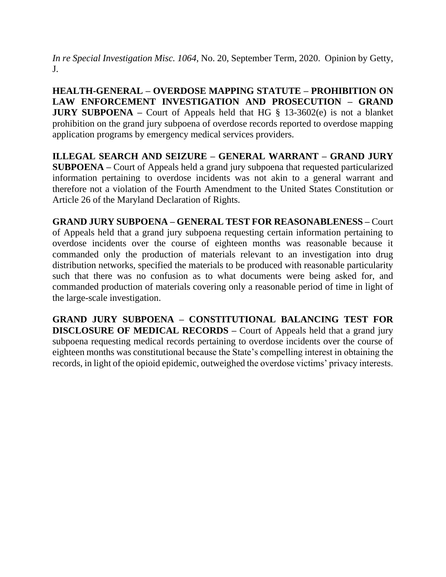*In re Special Investigation Misc. 1064*, No. 20, September Term, 2020. Opinion by Getty, J.

**HEALTH-GENERAL – OVERDOSE MAPPING STATUTE – PROHIBITION ON LAW ENFORCEMENT INVESTIGATION AND PROSECUTION – GRAND JURY SUBPOENA** – Court of Appeals held that HG § 13-3602(e) is not a blanket prohibition on the grand jury subpoena of overdose records reported to overdose mapping application programs by emergency medical services providers.

**ILLEGAL SEARCH AND SEIZURE – GENERAL WARRANT – GRAND JURY SUBPOENA –** Court of Appeals held a grand jury subpoena that requested particularized information pertaining to overdose incidents was not akin to a general warrant and therefore not a violation of the Fourth Amendment to the United States Constitution or Article 26 of the Maryland Declaration of Rights.

**GRAND JURY SUBPOENA – GENERAL TEST FOR REASONABLENESS –** Court of Appeals held that a grand jury subpoena requesting certain information pertaining to overdose incidents over the course of eighteen months was reasonable because it commanded only the production of materials relevant to an investigation into drug distribution networks, specified the materials to be produced with reasonable particularity such that there was no confusion as to what documents were being asked for, and commanded production of materials covering only a reasonable period of time in light of the large-scale investigation.

**GRAND JURY SUBPOENA – CONSTITUTIONAL BALANCING TEST FOR DISCLOSURE OF MEDICAL RECORDS –** Court of Appeals held that a grand jury subpoena requesting medical records pertaining to overdose incidents over the course of eighteen months was constitutional because the State's compelling interest in obtaining the records, in light of the opioid epidemic, outweighed the overdose victims' privacy interests.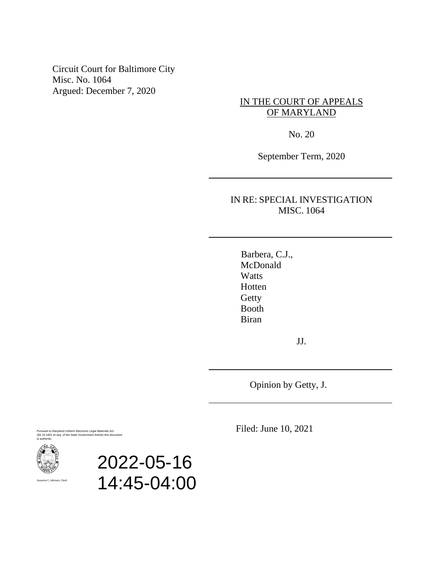Circuit Court for Baltimore City Misc. No. 1064 Argued: December 7, 2020

IN THE COURT OF APPEALS OF MARYLAND

No. 20

September Term, 2020

IN RE: SPECIAL INVESTIGATION MISC. 1064

 Barbera, C.J., McDonald Watts Hotten **Getty**  Booth Biran

JJ.

Opinion by Getty, J.

Pursuant to Maryland Uniform Electronic Legal Materials Act (§§ 10-1601 et seq. of the State Government Article) this document is authentic.



Suzanne C. Johnson, Clerk

2022-05-16 14:45-04:00 Filed: June 10, 2021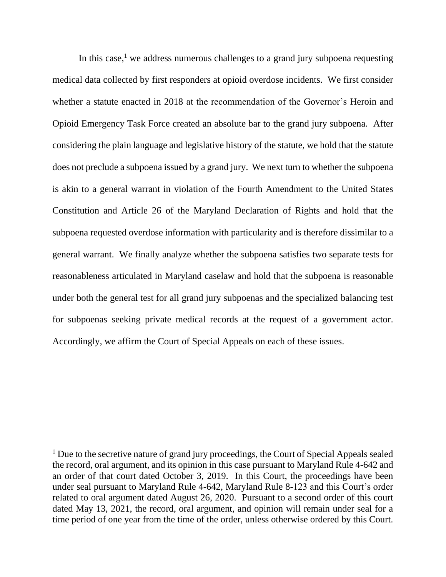In this case, $<sup>1</sup>$  we address numerous challenges to a grand jury subpoena requesting</sup> medical data collected by first responders at opioid overdose incidents. We first consider whether a statute enacted in 2018 at the recommendation of the Governor's Heroin and Opioid Emergency Task Force created an absolute bar to the grand jury subpoena. After considering the plain language and legislative history of the statute, we hold that the statute does not preclude a subpoena issued by a grand jury. We next turn to whether the subpoena is akin to a general warrant in violation of the Fourth Amendment to the United States Constitution and Article 26 of the Maryland Declaration of Rights and hold that the subpoena requested overdose information with particularity and is therefore dissimilar to a general warrant. We finally analyze whether the subpoena satisfies two separate tests for reasonableness articulated in Maryland caselaw and hold that the subpoena is reasonable under both the general test for all grand jury subpoenas and the specialized balancing test for subpoenas seeking private medical records at the request of a government actor. Accordingly, we affirm the Court of Special Appeals on each of these issues.

 $<sup>1</sup>$  Due to the secretive nature of grand jury proceedings, the Court of Special Appeals sealed</sup> the record, oral argument, and its opinion in this case pursuant to Maryland Rule 4-642 and an order of that court dated October 3, 2019. In this Court, the proceedings have been under seal pursuant to Maryland Rule 4-642, Maryland Rule 8-123 and this Court's order related to oral argument dated August 26, 2020. Pursuant to a second order of this court dated May 13, 2021, the record, oral argument, and opinion will remain under seal for a time period of one year from the time of the order, unless otherwise ordered by this Court.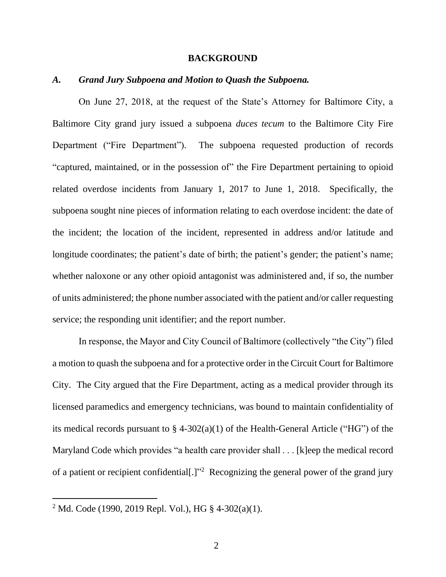### **BACKGROUND**

### *A. Grand Jury Subpoena and Motion to Quash the Subpoena.*

On June 27, 2018, at the request of the State's Attorney for Baltimore City, a Baltimore City grand jury issued a subpoena *duces tecum* to the Baltimore City Fire Department ("Fire Department"). The subpoena requested production of records "captured, maintained, or in the possession of" the Fire Department pertaining to opioid related overdose incidents from January 1, 2017 to June 1, 2018. Specifically, the subpoena sought nine pieces of information relating to each overdose incident: the date of the incident; the location of the incident, represented in address and/or latitude and longitude coordinates; the patient's date of birth; the patient's gender; the patient's name; whether naloxone or any other opioid antagonist was administered and, if so, the number of units administered; the phone number associated with the patient and/or caller requesting service; the responding unit identifier; and the report number.

In response, the Mayor and City Council of Baltimore (collectively "the City") filed a motion to quash the subpoena and for a protective order in the Circuit Court for Baltimore City. The City argued that the Fire Department, acting as a medical provider through its licensed paramedics and emergency technicians, was bound to maintain confidentiality of its medical records pursuant to  $\S$  4-302(a)(1) of the Health-General Article ("HG") of the Maryland Code which provides "a health care provider shall . . . [k]eep the medical record of a patient or recipient confidential<sup>[1]"2</sup> Recognizing the general power of the grand jury

<sup>&</sup>lt;sup>2</sup> Md. Code (1990, 2019 Repl. Vol.), HG § 4-302(a)(1).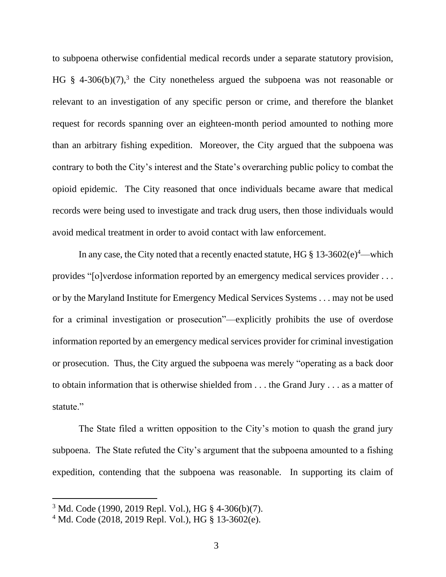to subpoena otherwise confidential medical records under a separate statutory provision, HG  $§$  4-306(b)(7),<sup>3</sup> the City nonetheless argued the subpoena was not reasonable or relevant to an investigation of any specific person or crime, and therefore the blanket request for records spanning over an eighteen-month period amounted to nothing more than an arbitrary fishing expedition. Moreover, the City argued that the subpoena was contrary to both the City's interest and the State's overarching public policy to combat the opioid epidemic. The City reasoned that once individuals became aware that medical records were being used to investigate and track drug users, then those individuals would avoid medical treatment in order to avoid contact with law enforcement.

In any case, the City noted that a recently enacted statute, HG  $\S 13-3602(e)^4$ —which provides "[o]verdose information reported by an emergency medical services provider . . . or by the Maryland Institute for Emergency Medical Services Systems . . . may not be used for a criminal investigation or prosecution"—explicitly prohibits the use of overdose information reported by an emergency medical services provider for criminal investigation or prosecution. Thus, the City argued the subpoena was merely "operating as a back door to obtain information that is otherwise shielded from . . . the Grand Jury . . . as a matter of statute."

The State filed a written opposition to the City's motion to quash the grand jury subpoena. The State refuted the City's argument that the subpoena amounted to a fishing expedition, contending that the subpoena was reasonable. In supporting its claim of

<sup>3</sup> Md. Code (1990, 2019 Repl. Vol.), HG § 4-306(b)(7).

<sup>4</sup> Md. Code (2018, 2019 Repl. Vol.), HG § 13-3602(e).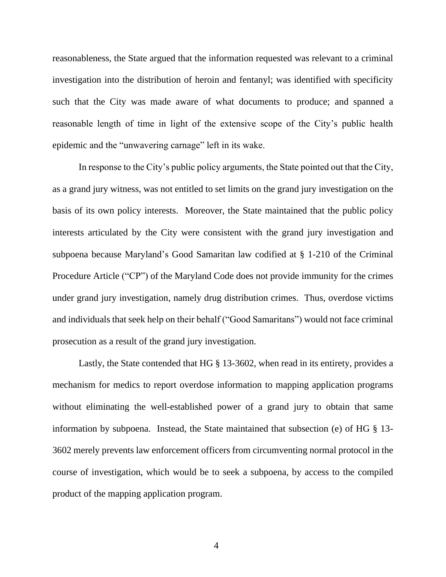reasonableness, the State argued that the information requested was relevant to a criminal investigation into the distribution of heroin and fentanyl; was identified with specificity such that the City was made aware of what documents to produce; and spanned a reasonable length of time in light of the extensive scope of the City's public health epidemic and the "unwavering carnage" left in its wake.

In response to the City's public policy arguments, the State pointed out that the City, as a grand jury witness, was not entitled to set limits on the grand jury investigation on the basis of its own policy interests. Moreover, the State maintained that the public policy interests articulated by the City were consistent with the grand jury investigation and subpoena because Maryland's Good Samaritan law codified at § 1-210 of the Criminal Procedure Article ("CP") of the Maryland Code does not provide immunity for the crimes under grand jury investigation, namely drug distribution crimes. Thus, overdose victims and individuals that seek help on their behalf ("Good Samaritans") would not face criminal prosecution as a result of the grand jury investigation.

Lastly, the State contended that HG § 13-3602, when read in its entirety, provides a mechanism for medics to report overdose information to mapping application programs without eliminating the well-established power of a grand jury to obtain that same information by subpoena. Instead, the State maintained that subsection (e) of HG § 13- 3602 merely prevents law enforcement officers from circumventing normal protocol in the course of investigation, which would be to seek a subpoena, by access to the compiled product of the mapping application program.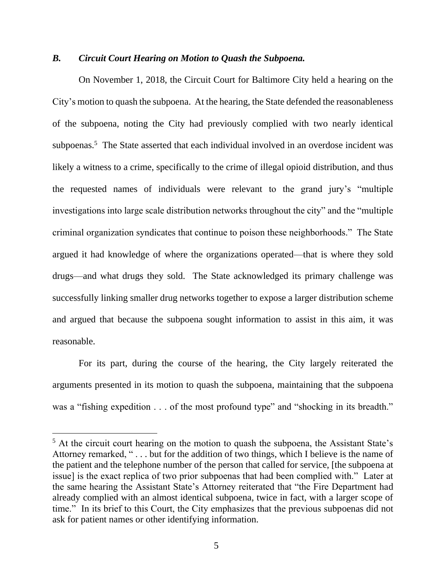# *B. Circuit Court Hearing on Motion to Quash the Subpoena.*

On November 1, 2018, the Circuit Court for Baltimore City held a hearing on the City's motion to quash the subpoena. At the hearing, the State defended the reasonableness of the subpoena, noting the City had previously complied with two nearly identical subpoenas.<sup>5</sup> The State asserted that each individual involved in an overdose incident was likely a witness to a crime, specifically to the crime of illegal opioid distribution, and thus the requested names of individuals were relevant to the grand jury's "multiple investigations into large scale distribution networks throughout the city" and the "multiple criminal organization syndicates that continue to poison these neighborhoods." The State argued it had knowledge of where the organizations operated—that is where they sold drugs—and what drugs they sold. The State acknowledged its primary challenge was successfully linking smaller drug networks together to expose a larger distribution scheme and argued that because the subpoena sought information to assist in this aim, it was reasonable.

For its part, during the course of the hearing, the City largely reiterated the arguments presented in its motion to quash the subpoena, maintaining that the subpoena was a "fishing expedition . . . of the most profound type" and "shocking in its breadth."

<sup>&</sup>lt;sup>5</sup> At the circuit court hearing on the motion to quash the subpoena, the Assistant State's Attorney remarked, " . . . but for the addition of two things, which I believe is the name of the patient and the telephone number of the person that called for service, [the subpoena at issue] is the exact replica of two prior subpoenas that had been complied with." Later at the same hearing the Assistant State's Attorney reiterated that "the Fire Department had already complied with an almost identical subpoena, twice in fact, with a larger scope of time." In its brief to this Court, the City emphasizes that the previous subpoenas did not ask for patient names or other identifying information.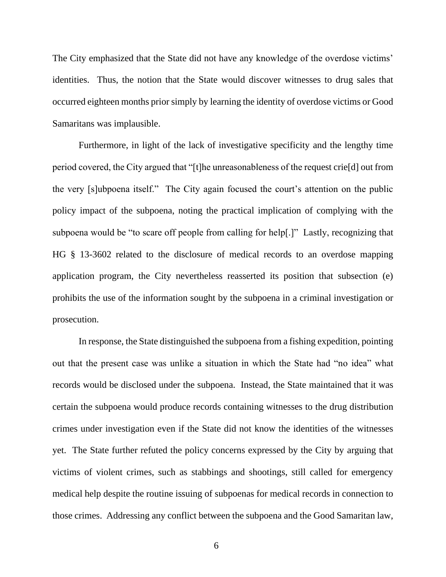The City emphasized that the State did not have any knowledge of the overdose victims' identities. Thus, the notion that the State would discover witnesses to drug sales that occurred eighteen months prior simply by learning the identity of overdose victims or Good Samaritans was implausible.

Furthermore, in light of the lack of investigative specificity and the lengthy time period covered, the City argued that "[t]he unreasonableness of the request crie[d] out from the very [s]ubpoena itself." The City again focused the court's attention on the public policy impact of the subpoena, noting the practical implication of complying with the subpoena would be "to scare off people from calling for help[.]" Lastly, recognizing that HG § 13-3602 related to the disclosure of medical records to an overdose mapping application program, the City nevertheless reasserted its position that subsection (e) prohibits the use of the information sought by the subpoena in a criminal investigation or prosecution.

In response, the State distinguished the subpoena from a fishing expedition, pointing out that the present case was unlike a situation in which the State had "no idea" what records would be disclosed under the subpoena. Instead, the State maintained that it was certain the subpoena would produce records containing witnesses to the drug distribution crimes under investigation even if the State did not know the identities of the witnesses yet. The State further refuted the policy concerns expressed by the City by arguing that victims of violent crimes, such as stabbings and shootings, still called for emergency medical help despite the routine issuing of subpoenas for medical records in connection to those crimes. Addressing any conflict between the subpoena and the Good Samaritan law,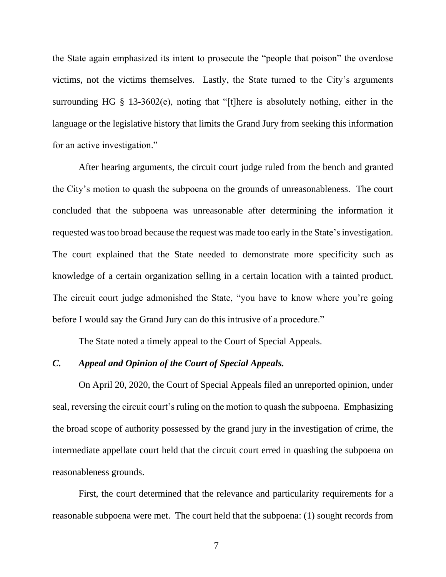the State again emphasized its intent to prosecute the "people that poison" the overdose victims, not the victims themselves. Lastly, the State turned to the City's arguments surrounding HG § 13-3602(e), noting that "[t]here is absolutely nothing, either in the language or the legislative history that limits the Grand Jury from seeking this information for an active investigation."

After hearing arguments, the circuit court judge ruled from the bench and granted the City's motion to quash the subpoena on the grounds of unreasonableness. The court concluded that the subpoena was unreasonable after determining the information it requested was too broad because the request was made too early in the State's investigation. The court explained that the State needed to demonstrate more specificity such as knowledge of a certain organization selling in a certain location with a tainted product. The circuit court judge admonished the State, "you have to know where you're going before I would say the Grand Jury can do this intrusive of a procedure."

The State noted a timely appeal to the Court of Special Appeals.

### *C. Appeal and Opinion of the Court of Special Appeals.*

On April 20, 2020, the Court of Special Appeals filed an unreported opinion, under seal, reversing the circuit court's ruling on the motion to quash the subpoena. Emphasizing the broad scope of authority possessed by the grand jury in the investigation of crime, the intermediate appellate court held that the circuit court erred in quashing the subpoena on reasonableness grounds.

First, the court determined that the relevance and particularity requirements for a reasonable subpoena were met. The court held that the subpoena: (1) sought records from

7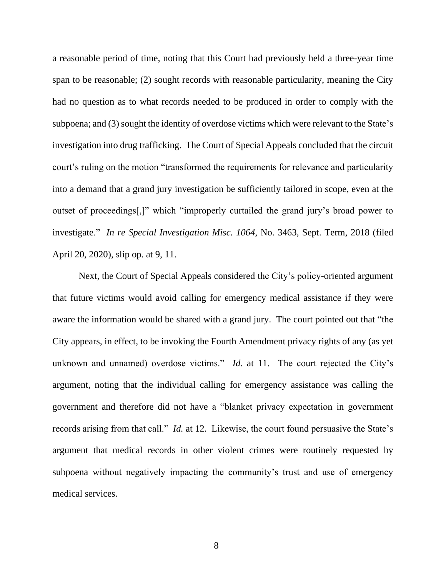a reasonable period of time, noting that this Court had previously held a three-year time span to be reasonable; (2) sought records with reasonable particularity, meaning the City had no question as to what records needed to be produced in order to comply with the subpoena; and (3) sought the identity of overdose victims which were relevant to the State's investigation into drug trafficking. The Court of Special Appeals concluded that the circuit court's ruling on the motion "transformed the requirements for relevance and particularity into a demand that a grand jury investigation be sufficiently tailored in scope, even at the outset of proceedings[,]" which "improperly curtailed the grand jury's broad power to investigate." *In re Special Investigation Misc. 1064*, No. 3463, Sept. Term, 2018 (filed April 20, 2020), slip op. at 9, 11.

Next, the Court of Special Appeals considered the City's policy-oriented argument that future victims would avoid calling for emergency medical assistance if they were aware the information would be shared with a grand jury. The court pointed out that "the City appears, in effect, to be invoking the Fourth Amendment privacy rights of any (as yet unknown and unnamed) overdose victims." *Id.* at 11. The court rejected the City's argument, noting that the individual calling for emergency assistance was calling the government and therefore did not have a "blanket privacy expectation in government records arising from that call." *Id.* at 12. Likewise, the court found persuasive the State's argument that medical records in other violent crimes were routinely requested by subpoena without negatively impacting the community's trust and use of emergency medical services.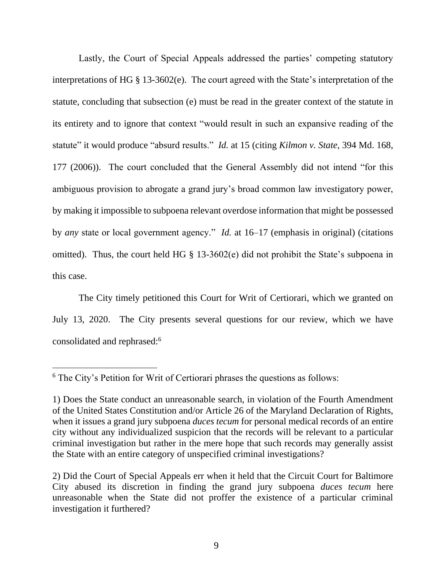Lastly, the Court of Special Appeals addressed the parties' competing statutory interpretations of HG § 13-3602(e). The court agreed with the State's interpretation of the statute, concluding that subsection (e) must be read in the greater context of the statute in its entirety and to ignore that context "would result in such an expansive reading of the statute" it would produce "absurd results." *Id.* at 15 (citing *Kilmon v. State*, 394 Md. 168, 177 (2006)). The court concluded that the General Assembly did not intend "for this ambiguous provision to abrogate a grand jury's broad common law investigatory power, by making it impossible to subpoena relevant overdose information that might be possessed by *any* state or local government agency." *Id.* at 16–17 (emphasis in original) (citations omitted). Thus, the court held HG § 13-3602(e) did not prohibit the State's subpoena in this case.

The City timely petitioned this Court for Writ of Certiorari, which we granted on July 13, 2020. The City presents several questions for our review, which we have consolidated and rephrased:<sup>6</sup>

<sup>6</sup> The City's Petition for Writ of Certiorari phrases the questions as follows:

<sup>1)</sup> Does the State conduct an unreasonable search, in violation of the Fourth Amendment of the United States Constitution and/or Article 26 of the Maryland Declaration of Rights, when it issues a grand jury subpoena *duces tecum* for personal medical records of an entire city without any individualized suspicion that the records will be relevant to a particular criminal investigation but rather in the mere hope that such records may generally assist the State with an entire category of unspecified criminal investigations?

<sup>2)</sup> Did the Court of Special Appeals err when it held that the Circuit Court for Baltimore City abused its discretion in finding the grand jury subpoena *duces tecum* here unreasonable when the State did not proffer the existence of a particular criminal investigation it furthered?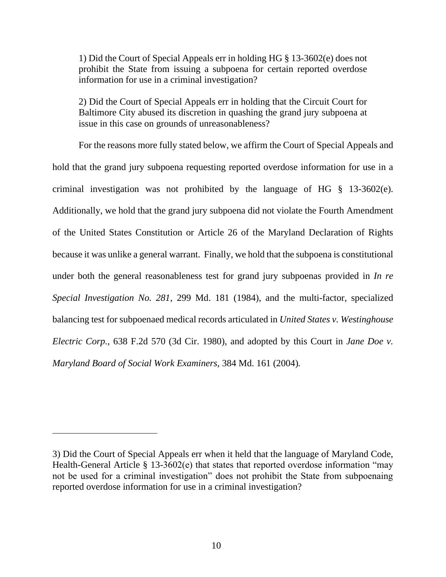1) Did the Court of Special Appeals err in holding HG § 13-3602(e) does not prohibit the State from issuing a subpoena for certain reported overdose information for use in a criminal investigation?

2) Did the Court of Special Appeals err in holding that the Circuit Court for Baltimore City abused its discretion in quashing the grand jury subpoena at issue in this case on grounds of unreasonableness?

For the reasons more fully stated below, we affirm the Court of Special Appeals and hold that the grand jury subpoena requesting reported overdose information for use in a criminal investigation was not prohibited by the language of HG § 13-3602(e). Additionally, we hold that the grand jury subpoena did not violate the Fourth Amendment of the United States Constitution or Article 26 of the Maryland Declaration of Rights because it was unlike a general warrant. Finally, we hold that the subpoena is constitutional under both the general reasonableness test for grand jury subpoenas provided in *In re Special Investigation No. 281*, 299 Md. 181 (1984), and the multi-factor, specialized balancing test for subpoenaed medical records articulated in *United States v. Westinghouse Electric Corp.,* 638 F.2d 570 (3d Cir. 1980), and adopted by this Court in *Jane Doe v. Maryland Board of Social Work Examiners,* 384 Md. 161 (2004)*.* 

<sup>3)</sup> Did the Court of Special Appeals err when it held that the language of Maryland Code, Health-General Article § 13-3602(e) that states that reported overdose information "may not be used for a criminal investigation" does not prohibit the State from subpoenaing reported overdose information for use in a criminal investigation?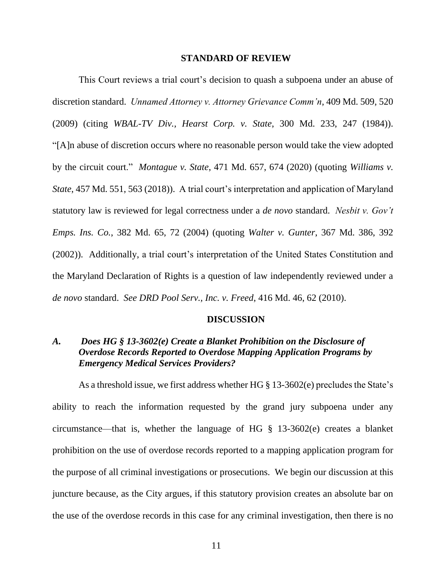#### **STANDARD OF REVIEW**

This Court reviews a trial court's decision to quash a subpoena under an abuse of discretion standard. *Unnamed Attorney v. Attorney Grievance Comm'n*, 409 Md. 509, 520 (2009) (citing *WBAL-TV Div., Hearst Corp. v. State*, 300 Md. 233, 247 (1984)). "[A]n abuse of discretion occurs where no reasonable person would take the view adopted by the circuit court." *Montague v. State*, 471 Md. 657, 674 (2020) (quoting *Williams v. State*, 457 Md. 551, 563 (2018)). A trial court's interpretation and application of Maryland statutory law is reviewed for legal correctness under a *de novo* standard. *Nesbit v. Gov't Emps. Ins. Co.*, 382 Md. 65, 72 (2004) (quoting *Walter v. Gunter*, 367 Md. 386, 392 (2002)). Additionally, a trial court's interpretation of the United States Constitution and the Maryland Declaration of Rights is a question of law independently reviewed under a *de novo* standard. *See DRD Pool Serv., Inc. v. Freed*, 416 Md. 46, 62 (2010).

#### **DISCUSSION**

# *A. Does HG § 13-3602(e) Create a Blanket Prohibition on the Disclosure of Overdose Records Reported to Overdose Mapping Application Programs by Emergency Medical Services Providers?*

As a threshold issue, we first address whether HG § 13-3602(e) precludes the State's ability to reach the information requested by the grand jury subpoena under any circumstance—that is, whether the language of HG § 13-3602(e) creates a blanket prohibition on the use of overdose records reported to a mapping application program for the purpose of all criminal investigations or prosecutions. We begin our discussion at this juncture because, as the City argues, if this statutory provision creates an absolute bar on the use of the overdose records in this case for any criminal investigation, then there is no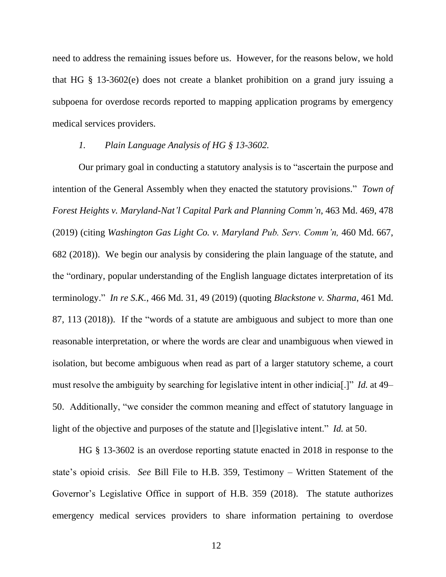need to address the remaining issues before us. However, for the reasons below, we hold that HG § 13-3602(e) does not create a blanket prohibition on a grand jury issuing a subpoena for overdose records reported to mapping application programs by emergency medical services providers.

### *1. Plain Language Analysis of HG § 13-3602.*

Our primary goal in conducting a statutory analysis is to "ascertain the purpose and intention of the General Assembly when they enacted the statutory provisions." *Town of Forest Heights v. Maryland-Nat'l Capital Park and Planning Comm'n*, 463 Md. 469, 478 (2019) (citing *Washington Gas Light Co. v. Maryland Pub. Serv. Comm'n,* 460 Md. 667, 682 (2018)). We begin our analysis by considering the plain language of the statute, and the "ordinary, popular understanding of the English language dictates interpretation of its terminology." *In re S.K.*, 466 Md. 31, 49 (2019) (quoting *[Blackstone](https://1.next.westlaw.com/Link/Document/FullText?findType=Y&serNum=2023240216&pubNum=0000536&originatingDoc=I27d452e0c9e911e99c7da5bca11408d2&refType=RP&fi=co_pp_sp_536_101&originationContext=document&transitionType=DocumentItem&contextData=(sc.Search)#co_pp_sp_536_101) v. Sharma*, 461 Md. 87, 113 (2018)). If the "words of a statute are ambiguous and subject to more than one reasonable interpretation, or where the words are clear and unambiguous when viewed in isolation, but become ambiguous when read as part of a larger statutory scheme, a court must resolve the ambiguity by searching for legislative intent in other indicia[.]" *Id.* at 49– 50. Additionally, "we consider the common meaning and effect of statutory language in light of the objective and purposes of the statute and [l]egislative intent." *Id.* at 50.

HG § 13-3602 is an overdose reporting statute enacted in 2018 in response to the state's opioid crisis. *See* Bill File to H.B. 359, Testimony – Written Statement of the Governor's Legislative Office in support of H.B. 359 (2018). The statute authorizes emergency medical services providers to share information pertaining to overdose

12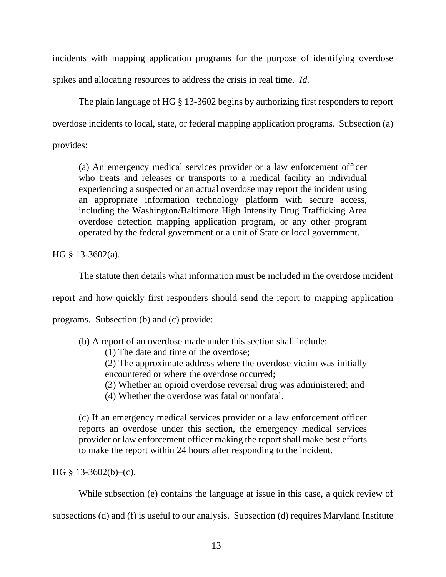incidents with mapping application programs for the purpose of identifying overdose spikes and allocating resources to address the crisis in real time. *Id.*

The plain language of HG § 13-3602 begins by authorizing first responders to report overdose incidents to local, state, or federal mapping application programs. Subsection (a)

provides:

(a) An emergency medical services provider or a law enforcement officer who treats and releases or transports to a medical facility an individual experiencing a suspected or an actual overdose may report the incident using an appropriate information technology platform with secure access, including the Washington/Baltimore High Intensity Drug Trafficking Area overdose detection mapping application program, or any other program operated by the federal government or a unit of State or local government.

HG § 13-3602(a).

The statute then details what information must be included in the overdose incident

report and how quickly first responders should send the report to mapping application

programs. Subsection (b) and (c) provide:

(b) A report of an overdose made under this section shall include:

(1) The date and time of the overdose;

(2) The approximate address where the overdose victim was initially encountered or where the overdose occurred;

- (3) Whether an opioid overdose reversal drug was administered; and
- (4) Whether the overdose was fatal or nonfatal.

(c) If an emergency medical services provider or a law enforcement officer reports an overdose under this section, the emergency medical services provider or law enforcement officer making the report shall make best efforts to make the report within 24 hours after responding to the incident.

HG  $§$  13-3602(b)–(c).

While subsection (e) contains the language at issue in this case, a quick review of

subsections (d) and (f) is useful to our analysis. Subsection (d) requires Maryland Institute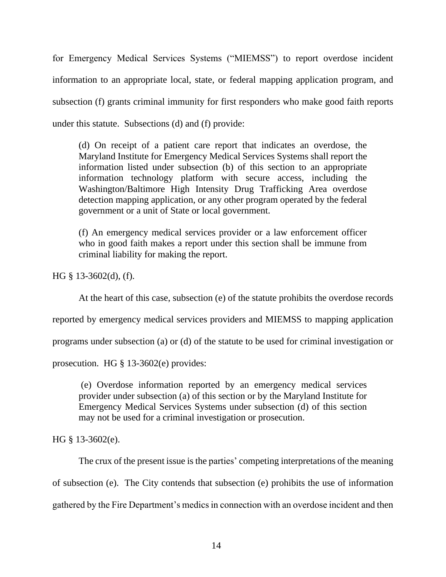for Emergency Medical Services Systems ("MIEMSS") to report overdose incident information to an appropriate local, state, or federal mapping application program, and subsection (f) grants criminal immunity for first responders who make good faith reports under this statute. Subsections (d) and (f) provide:

(d) On receipt of a patient care report that indicates an overdose, the Maryland Institute for Emergency Medical Services Systems shall report the information listed under subsection (b) of this section to an appropriate information technology platform with secure access, including the Washington/Baltimore High Intensity Drug Trafficking Area overdose detection mapping application, or any other program operated by the federal government or a unit of State or local government.

(f) An emergency medical services provider or a law enforcement officer who in good faith makes a report under this section shall be immune from criminal liability for making the report.

HG § 13-3602(d), (f).

At the heart of this case, subsection (e) of the statute prohibits the overdose records

reported by emergency medical services providers and MIEMSS to mapping application

programs under subsection (a) or (d) of the statute to be used for criminal investigation or

prosecution. HG § 13-3602(e) provides:

(e) Overdose information reported by an emergency medical services provider under subsection (a) of this section or by the Maryland Institute for Emergency Medical Services Systems under subsection (d) of this section may not be used for a criminal investigation or prosecution.

HG § 13-3602(e).

The crux of the present issue is the parties' competing interpretations of the meaning of subsection (e). The City contends that subsection (e) prohibits the use of information gathered by the Fire Department's medics in connection with an overdose incident and then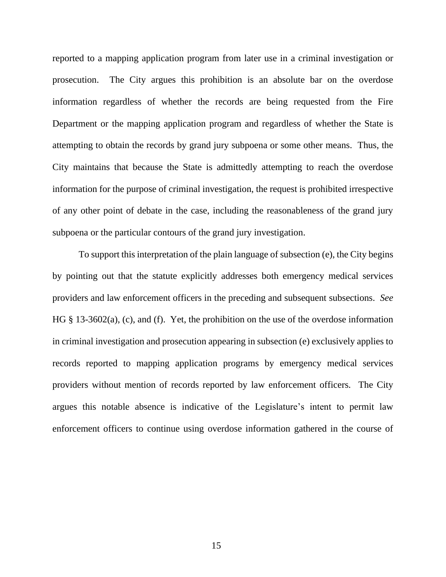reported to a mapping application program from later use in a criminal investigation or prosecution. The City argues this prohibition is an absolute bar on the overdose information regardless of whether the records are being requested from the Fire Department or the mapping application program and regardless of whether the State is attempting to obtain the records by grand jury subpoena or some other means. Thus, the City maintains that because the State is admittedly attempting to reach the overdose information for the purpose of criminal investigation, the request is prohibited irrespective of any other point of debate in the case, including the reasonableness of the grand jury subpoena or the particular contours of the grand jury investigation.

To support this interpretation of the plain language of subsection (e), the City begins by pointing out that the statute explicitly addresses both emergency medical services providers and law enforcement officers in the preceding and subsequent subsections. *See* HG § 13-3602(a), (c), and (f). Yet, the prohibition on the use of the overdose information in criminal investigation and prosecution appearing in subsection (e) exclusively applies to records reported to mapping application programs by emergency medical services providers without mention of records reported by law enforcement officers. The City argues this notable absence is indicative of the Legislature's intent to permit law enforcement officers to continue using overdose information gathered in the course of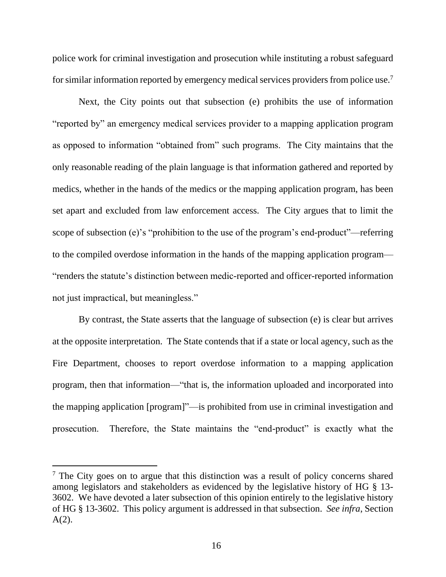police work for criminal investigation and prosecution while instituting a robust safeguard for similar information reported by emergency medical services providers from police use.<sup>7</sup>

Next, the City points out that subsection (e) prohibits the use of information "reported by" an emergency medical services provider to a mapping application program as opposed to information "obtained from" such programs. The City maintains that the only reasonable reading of the plain language is that information gathered and reported by medics, whether in the hands of the medics or the mapping application program, has been set apart and excluded from law enforcement access. The City argues that to limit the scope of subsection (e)'s "prohibition to the use of the program's end-product"—referring to the compiled overdose information in the hands of the mapping application program— "renders the statute's distinction between medic-reported and officer-reported information not just impractical, but meaningless."

By contrast, the State asserts that the language of subsection (e) is clear but arrives at the opposite interpretation. The State contends that if a state or local agency, such as the Fire Department, chooses to report overdose information to a mapping application program, then that information—"that is, the information uploaded and incorporated into the mapping application [program]"—is prohibited from use in criminal investigation and prosecution. Therefore, the State maintains the "end-product" is exactly what the

 $<sup>7</sup>$  The City goes on to argue that this distinction was a result of policy concerns shared</sup> among legislators and stakeholders as evidenced by the legislative history of HG § 13- 3602. We have devoted a later subsection of this opinion entirely to the legislative history of HG § 13-3602. This policy argument is addressed in that subsection. *See infra*, Section  $A(2)$ .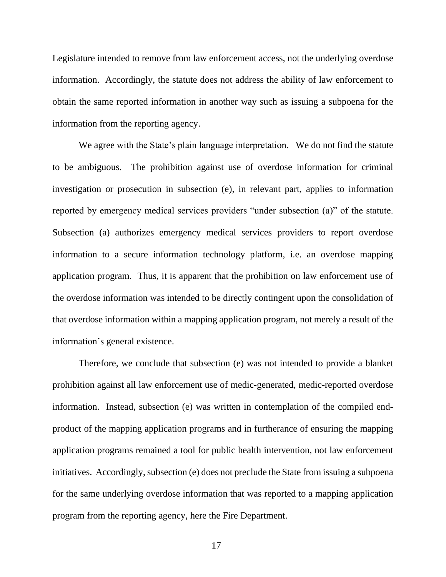Legislature intended to remove from law enforcement access, not the underlying overdose information. Accordingly, the statute does not address the ability of law enforcement to obtain the same reported information in another way such as issuing a subpoena for the information from the reporting agency.

We agree with the State's plain language interpretation. We do not find the statute to be ambiguous. The prohibition against use of overdose information for criminal investigation or prosecution in subsection (e), in relevant part, applies to information reported by emergency medical services providers "under subsection (a)" of the statute. Subsection (a) authorizes emergency medical services providers to report overdose information to a secure information technology platform, i.e. an overdose mapping application program. Thus, it is apparent that the prohibition on law enforcement use of the overdose information was intended to be directly contingent upon the consolidation of that overdose information within a mapping application program, not merely a result of the information's general existence.

Therefore, we conclude that subsection (e) was not intended to provide a blanket prohibition against all law enforcement use of medic-generated, medic-reported overdose information. Instead, subsection (e) was written in contemplation of the compiled endproduct of the mapping application programs and in furtherance of ensuring the mapping application programs remained a tool for public health intervention, not law enforcement initiatives. Accordingly, subsection (e) does not preclude the State from issuing a subpoena for the same underlying overdose information that was reported to a mapping application program from the reporting agency, here the Fire Department.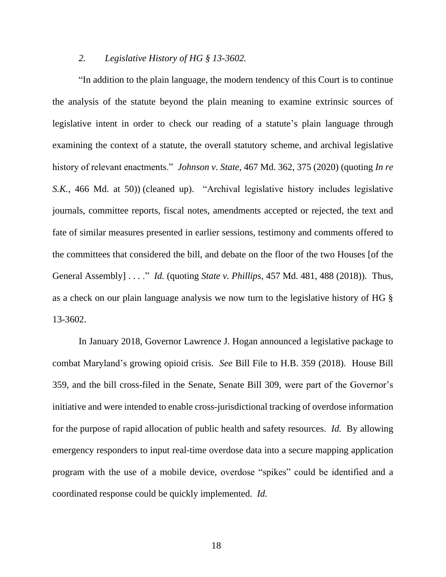### *2. Legislative History of HG § 13-3602.*

"In addition to the plain language, the modern tendency of this Court is to continue the analysis of the statute beyond the plain meaning to examine extrinsic sources of legislative intent in order to check our reading of a statute's plain language through examining the context of a statute, the overall statutory scheme, and archival legislative history of relevant enactments." *Johnson v. State*, 467 Md. 362, 375 (2020) (quoting *In re S.K.*, 466 Md. at 50)) (cleaned up). "Archival legislative history includes legislative journals, committee reports, fiscal notes, amendments accepted or rejected, the text and fate of similar measures presented in earlier sessions, testimony and comments offered to the committees that considered the bill, and debate on the floor of the two Houses [of the General Assembly] . . . ." *Id.* (quoting *State v. Phillips*, 457 Md. 481, 488 (2018)). Thus, as a check on our plain language analysis we now turn to the legislative history of HG § 13-3602.

In January 2018, Governor Lawrence J. Hogan announced a legislative package to combat Maryland's growing opioid crisis. *See* Bill File to H.B. 359 (2018). House Bill 359, and the bill cross-filed in the Senate, Senate Bill 309, were part of the Governor's initiative and were intended to enable cross-jurisdictional tracking of overdose information for the purpose of rapid allocation of public health and safety resources. *Id.* By allowing emergency responders to input real-time overdose data into a secure mapping application program with the use of a mobile device, overdose "spikes" could be identified and a coordinated response could be quickly implemented. *Id.*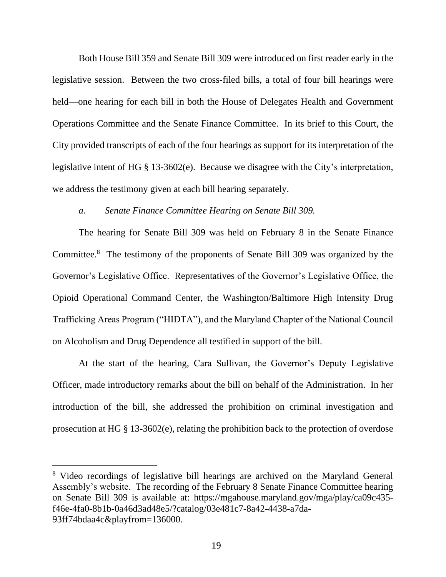Both House Bill 359 and Senate Bill 309 were introduced on first reader early in the legislative session. Between the two cross-filed bills, a total of four bill hearings were held—one hearing for each bill in both the House of Delegates Health and Government Operations Committee and the Senate Finance Committee. In its brief to this Court, the City provided transcripts of each of the four hearings as support for its interpretation of the legislative intent of HG § 13-3602(e). Because we disagree with the City's interpretation, we address the testimony given at each bill hearing separately.

### *a. Senate Finance Committee Hearing on Senate Bill 309.*

The hearing for Senate Bill 309 was held on February 8 in the Senate Finance Committee. 8 The testimony of the proponents of Senate Bill 309 was organized by the Governor's Legislative Office. Representatives of the Governor's Legislative Office, the Opioid Operational Command Center, the Washington/Baltimore High Intensity Drug Trafficking Areas Program ("HIDTA"), and the Maryland Chapter of the National Council on Alcoholism and Drug Dependence all testified in support of the bill.

At the start of the hearing, Cara Sullivan, the Governor's Deputy Legislative Officer, made introductory remarks about the bill on behalf of the Administration. In her introduction of the bill, she addressed the prohibition on criminal investigation and prosecution at HG § 13-3602(e), relating the prohibition back to the protection of overdose

<sup>8</sup> Video recordings of legislative bill hearings are archived on the Maryland General Assembly's website. The recording of the February 8 Senate Finance Committee hearing on Senate Bill 309 is available at: https://mgahouse.maryland.gov/mga/play/ca09c435 f46e-4fa0-8b1b-0a46d3ad48e5/?catalog/03e481c7-8a42-4438-a7da-93ff74bdaa4c&playfrom=136000.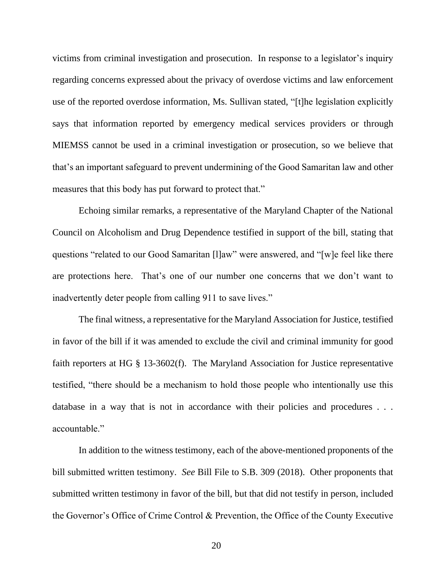victims from criminal investigation and prosecution. In response to a legislator's inquiry regarding concerns expressed about the privacy of overdose victims and law enforcement use of the reported overdose information, Ms. Sullivan stated, "[t]he legislation explicitly says that information reported by emergency medical services providers or through MIEMSS cannot be used in a criminal investigation or prosecution, so we believe that that's an important safeguard to prevent undermining of the Good Samaritan law and other measures that this body has put forward to protect that."

Echoing similar remarks, a representative of the Maryland Chapter of the National Council on Alcoholism and Drug Dependence testified in support of the bill, stating that questions "related to our Good Samaritan [l]aw" were answered, and "[w]e feel like there are protections here. That's one of our number one concerns that we don't want to inadvertently deter people from calling 911 to save lives."

The final witness, a representative for the Maryland Association for Justice, testified in favor of the bill if it was amended to exclude the civil and criminal immunity for good faith reporters at HG § 13-3602(f). The Maryland Association for Justice representative testified, "there should be a mechanism to hold those people who intentionally use this database in a way that is not in accordance with their policies and procedures . . . accountable."

In addition to the witness testimony, each of the above-mentioned proponents of the bill submitted written testimony. *See* Bill File to S.B. 309 (2018). Other proponents that submitted written testimony in favor of the bill, but that did not testify in person, included the Governor's Office of Crime Control & Prevention, the Office of the County Executive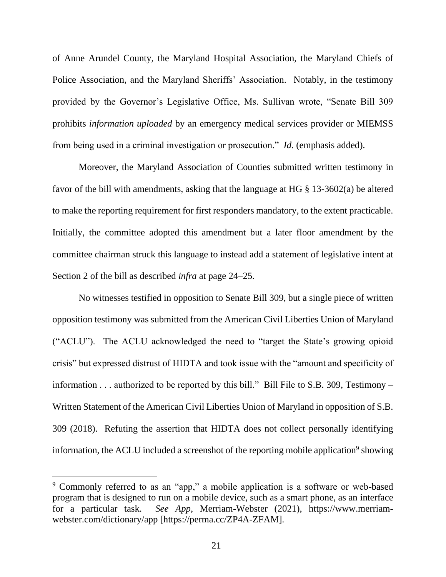of Anne Arundel County, the Maryland Hospital Association, the Maryland Chiefs of Police Association, and the Maryland Sheriffs' Association. Notably, in the testimony provided by the Governor's Legislative Office, Ms. Sullivan wrote, "Senate Bill 309 prohibits *information uploaded* by an emergency medical services provider or MIEMSS from being used in a criminal investigation or prosecution." *Id.* (emphasis added).

Moreover, the Maryland Association of Counties submitted written testimony in favor of the bill with amendments, asking that the language at HG § 13-3602(a) be altered to make the reporting requirement for first responders mandatory, to the extent practicable. Initially, the committee adopted this amendment but a later floor amendment by the committee chairman struck this language to instead add a statement of legislative intent at Section 2 of the bill as described *infra* at page 24–25.

No witnesses testified in opposition to Senate Bill 309, but a single piece of written opposition testimony was submitted from the American Civil Liberties Union of Maryland ("ACLU"). The ACLU acknowledged the need to "target the State's growing opioid crisis" but expressed distrust of HIDTA and took issue with the "amount and specificity of information . . . authorized to be reported by this bill." Bill File to S.B. 309, Testimony – Written Statement of the American Civil Liberties Union of Maryland in opposition of S.B. 309 (2018). Refuting the assertion that HIDTA does not collect personally identifying information, the ACLU included a screenshot of the reporting mobile application<sup>9</sup> showing

<sup>&</sup>lt;sup>9</sup> Commonly referred to as an "app," a mobile application is a software or web-based program that is designed to run on a mobile device, such as a smart phone, as an interface for a particular task. *See App*, Merriam-Webster (2021), https://www.merriamwebster.com/dictionary/app [https://perma.cc/ZP4A-ZFAM].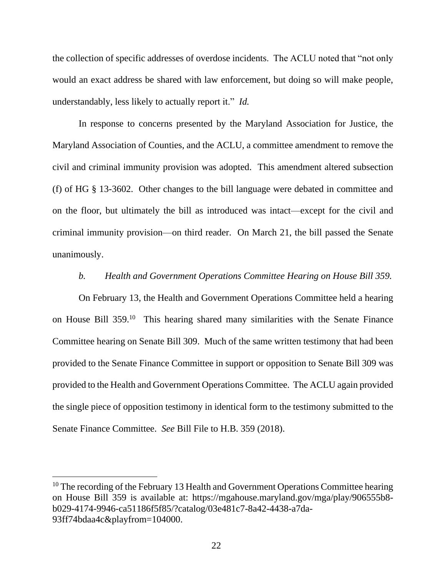the collection of specific addresses of overdose incidents. The ACLU noted that "not only would an exact address be shared with law enforcement, but doing so will make people, understandably, less likely to actually report it." *Id.* 

In response to concerns presented by the Maryland Association for Justice, the Maryland Association of Counties, and the ACLU, a committee amendment to remove the civil and criminal immunity provision was adopted. This amendment altered subsection (f) of HG § 13-3602. Other changes to the bill language were debated in committee and on the floor, but ultimately the bill as introduced was intact—except for the civil and criminal immunity provision—on third reader. On March 21, the bill passed the Senate unanimously.

### *b. Health and Government Operations Committee Hearing on House Bill 359.*

On February 13, the Health and Government Operations Committee held a hearing on House Bill 359.<sup>10</sup> This hearing shared many similarities with the Senate Finance Committee hearing on Senate Bill 309. Much of the same written testimony that had been provided to the Senate Finance Committee in support or opposition to Senate Bill 309 was provided to the Health and Government Operations Committee. The ACLU again provided the single piece of opposition testimony in identical form to the testimony submitted to the Senate Finance Committee. *See* Bill File to H.B. 359 (2018).

 $10$  The recording of the February 13 Health and Government Operations Committee hearing on House Bill 359 is available at: https://mgahouse.maryland.gov/mga/play/906555b8 b029-4174-9946-ca51186f5f85/?catalog/03e481c7-8a42-4438-a7da-93ff74bdaa4c&playfrom=104000.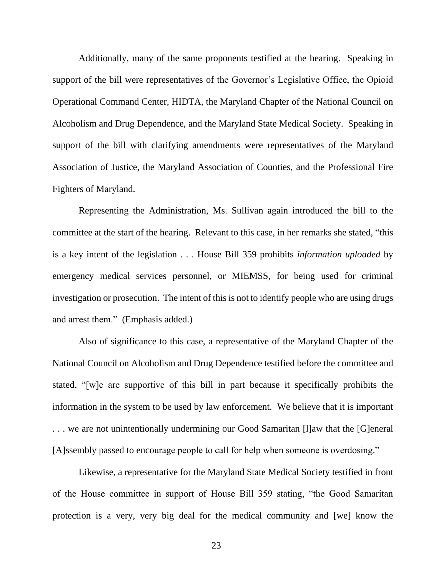Additionally, many of the same proponents testified at the hearing. Speaking in support of the bill were representatives of the Governor's Legislative Office, the Opioid Operational Command Center, HIDTA, the Maryland Chapter of the National Council on Alcoholism and Drug Dependence, and the Maryland State Medical Society. Speaking in support of the bill with clarifying amendments were representatives of the Maryland Association of Justice, the Maryland Association of Counties, and the Professional Fire Fighters of Maryland.

Representing the Administration, Ms. Sullivan again introduced the bill to the committee at the start of the hearing. Relevant to this case, in her remarks she stated, "this is a key intent of the legislation . . . House Bill 359 prohibits *information uploaded* by emergency medical services personnel, or MIEMSS, for being used for criminal investigation or prosecution. The intent of this is not to identify people who are using drugs and arrest them." (Emphasis added.)

Also of significance to this case, a representative of the Maryland Chapter of the National Council on Alcoholism and Drug Dependence testified before the committee and stated, "[w]e are supportive of this bill in part because it specifically prohibits the information in the system to be used by law enforcement. We believe that it is important . . . we are not unintentionally undermining our Good Samaritan [l]aw that the [G]eneral [A]ssembly passed to encourage people to call for help when someone is overdosing."

Likewise, a representative for the Maryland State Medical Society testified in front of the House committee in support of House Bill 359 stating, "the Good Samaritan protection is a very, very big deal for the medical community and [we] know the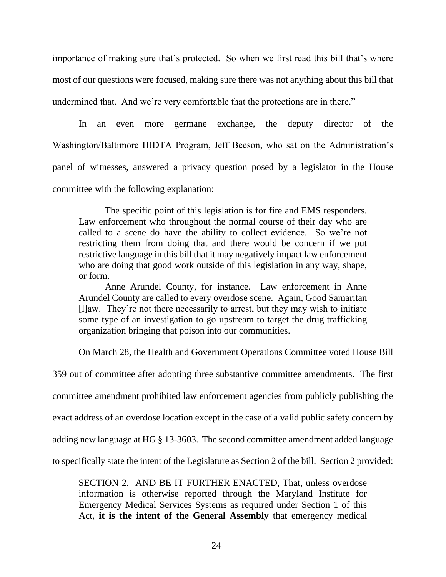importance of making sure that's protected. So when we first read this bill that's where most of our questions were focused, making sure there was not anything about this bill that undermined that. And we're very comfortable that the protections are in there."

In an even more germane exchange, the deputy director of the Washington/Baltimore HIDTA Program, Jeff Beeson, who sat on the Administration's panel of witnesses, answered a privacy question posed by a legislator in the House committee with the following explanation:

The specific point of this legislation is for fire and EMS responders. Law enforcement who throughout the normal course of their day who are called to a scene do have the ability to collect evidence. So we're not restricting them from doing that and there would be concern if we put restrictive language in this bill that it may negatively impact law enforcement who are doing that good work outside of this legislation in any way, shape, or form.

Anne Arundel County, for instance. Law enforcement in Anne Arundel County are called to every overdose scene. Again, Good Samaritan [l]aw. They're not there necessarily to arrest, but they may wish to initiate some type of an investigation to go upstream to target the drug trafficking organization bringing that poison into our communities.

On March 28, the Health and Government Operations Committee voted House Bill

359 out of committee after adopting three substantive committee amendments. The first committee amendment prohibited law enforcement agencies from publicly publishing the exact address of an overdose location except in the case of a valid public safety concern by adding new language at HG § 13-3603. The second committee amendment added language to specifically state the intent of the Legislature as Section 2 of the bill. Section 2 provided:

SECTION 2. AND BE IT FURTHER ENACTED, That, unless overdose information is otherwise reported through the Maryland Institute for Emergency Medical Services Systems as required under Section 1 of this Act, **it is the intent of the General Assembly** that emergency medical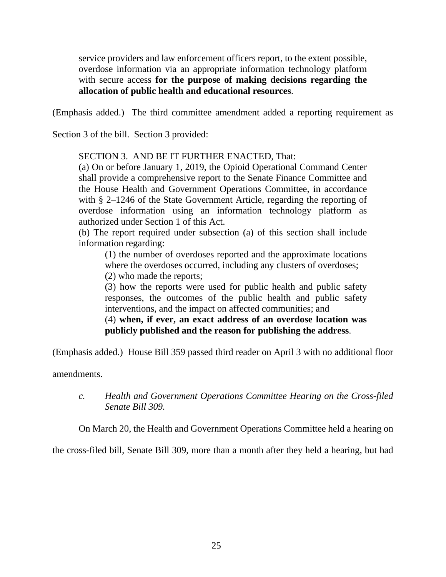service providers and law enforcement officers report, to the extent possible, overdose information via an appropriate information technology platform with secure access **for the purpose of making decisions regarding the allocation of public health and educational resources**.

(Emphasis added.) The third committee amendment added a reporting requirement as

Section 3 of the bill. Section 3 provided:

SECTION 3. AND BE IT FURTHER ENACTED, That:

(a) On or before January 1, 2019, the Opioid Operational Command Center shall provide a comprehensive report to the Senate Finance Committee and the House Health and Government Operations Committee, in accordance with § 2–1246 of the State Government Article, regarding the reporting of overdose information using an information technology platform as authorized under Section 1 of this Act.

(b) The report required under subsection (a) of this section shall include information regarding:

(1) the number of overdoses reported and the approximate locations where the overdoses occurred, including any clusters of overdoses;

(2) who made the reports;

(3) how the reports were used for public health and public safety responses, the outcomes of the public health and public safety interventions, and the impact on affected communities; and

# (4) **when, if ever, an exact address of an overdose location was publicly published and the reason for publishing the address**.

(Emphasis added.) House Bill 359 passed third reader on April 3 with no additional floor

amendments.

On March 20, the Health and Government Operations Committee held a hearing on

the cross-filed bill, Senate Bill 309, more than a month after they held a hearing, but had

*c. Health and Government Operations Committee Hearing on the Cross-filed Senate Bill 309.*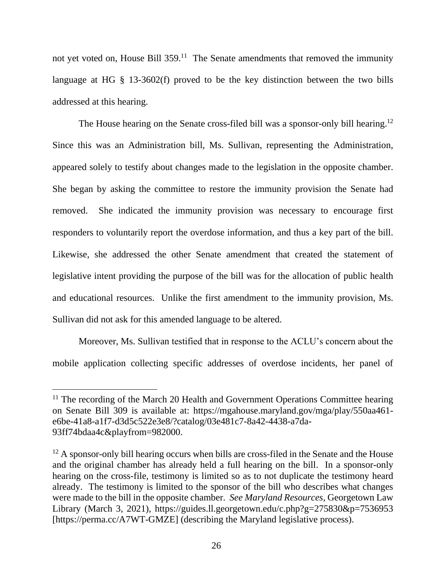not yet voted on, House Bill 359.<sup>11</sup> The Senate amendments that removed the immunity language at HG § 13-3602(f) proved to be the key distinction between the two bills addressed at this hearing.

The House hearing on the Senate cross-filed bill was a sponsor-only bill hearing.<sup>12</sup> Since this was an Administration bill, Ms. Sullivan, representing the Administration, appeared solely to testify about changes made to the legislation in the opposite chamber. She began by asking the committee to restore the immunity provision the Senate had removed. She indicated the immunity provision was necessary to encourage first responders to voluntarily report the overdose information, and thus a key part of the bill. Likewise, she addressed the other Senate amendment that created the statement of legislative intent providing the purpose of the bill was for the allocation of public health and educational resources. Unlike the first amendment to the immunity provision, Ms. Sullivan did not ask for this amended language to be altered.

Moreover, Ms. Sullivan testified that in response to the ACLU's concern about the mobile application collecting specific addresses of overdose incidents, her panel of

<sup>&</sup>lt;sup>11</sup> The recording of the March 20 Health and Government Operations Committee hearing on Senate Bill 309 is available at: https://mgahouse.maryland.gov/mga/play/550aa461 e6be-41a8-a1f7-d3d5c522e3e8/?catalog/03e481c7-8a42-4438-a7da-93ff74bdaa4c&playfrom=982000.

<sup>&</sup>lt;sup>12</sup> A sponsor-only bill hearing occurs when bills are cross-filed in the Senate and the House and the original chamber has already held a full hearing on the bill. In a sponsor-only hearing on the cross-file, testimony is limited so as to not duplicate the testimony heard already. The testimony is limited to the sponsor of the bill who describes what changes were made to the bill in the opposite chamber. *See Maryland Resources*, Georgetown Law Library (March 3, 2021), https://guides.ll.georgetown.edu/c.php?g=275830&p=7536953 [https://perma.cc/A7WT-GMZE] (describing the Maryland legislative process).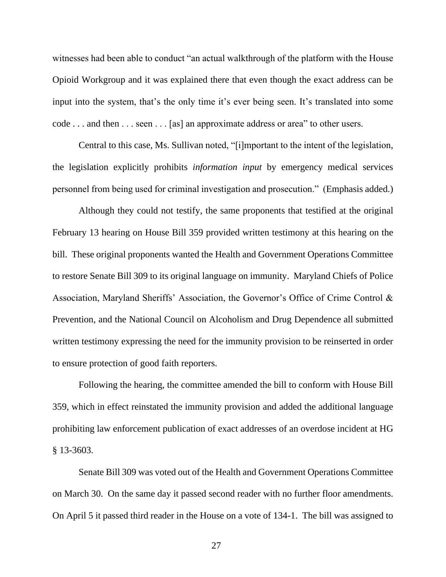witnesses had been able to conduct "an actual walkthrough of the platform with the House Opioid Workgroup and it was explained there that even though the exact address can be input into the system, that's the only time it's ever being seen. It's translated into some code . . . and then . . . seen . . . [as] an approximate address or area" to other users.

Central to this case, Ms. Sullivan noted, "[i]mportant to the intent of the legislation, the legislation explicitly prohibits *information input* by emergency medical services personnel from being used for criminal investigation and prosecution." (Emphasis added.)

Although they could not testify, the same proponents that testified at the original February 13 hearing on House Bill 359 provided written testimony at this hearing on the bill. These original proponents wanted the Health and Government Operations Committee to restore Senate Bill 309 to its original language on immunity. Maryland Chiefs of Police Association, Maryland Sheriffs' Association, the Governor's Office of Crime Control & Prevention, and the National Council on Alcoholism and Drug Dependence all submitted written testimony expressing the need for the immunity provision to be reinserted in order to ensure protection of good faith reporters.

Following the hearing, the committee amended the bill to conform with House Bill 359, which in effect reinstated the immunity provision and added the additional language prohibiting law enforcement publication of exact addresses of an overdose incident at HG § 13-3603.

Senate Bill 309 was voted out of the Health and Government Operations Committee on March 30. On the same day it passed second reader with no further floor amendments. On April 5 it passed third reader in the House on a vote of 134-1. The bill was assigned to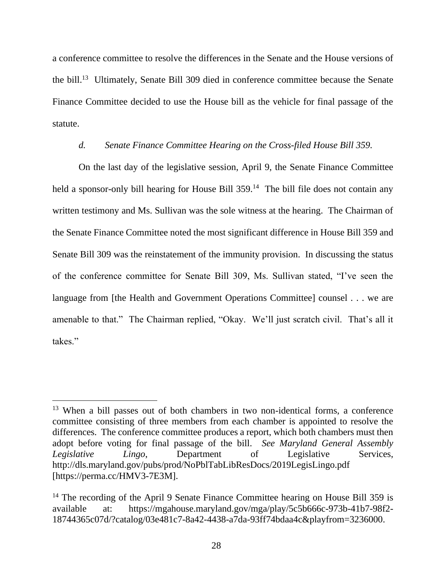a conference committee to resolve the differences in the Senate and the House versions of the bill.<sup>13</sup> Ultimately, Senate Bill 309 died in conference committee because the Senate Finance Committee decided to use the House bill as the vehicle for final passage of the statute.

### *d. Senate Finance Committee Hearing on the Cross-filed House Bill 359.*

On the last day of the legislative session, April 9, the Senate Finance Committee held a sponsor-only bill hearing for House Bill 359.<sup>14</sup> The bill file does not contain any written testimony and Ms. Sullivan was the sole witness at the hearing. The Chairman of the Senate Finance Committee noted the most significant difference in House Bill 359 and Senate Bill 309 was the reinstatement of the immunity provision. In discussing the status of the conference committee for Senate Bill 309, Ms. Sullivan stated, "I've seen the language from [the Health and Government Operations Committee] counsel . . . we are amenable to that." The Chairman replied, "Okay. We'll just scratch civil. That's all it takes."

<sup>&</sup>lt;sup>13</sup> When a bill passes out of both chambers in two non-identical forms, a conference committee consisting of three members from each chamber is appointed to resolve the differences. The conference committee produces a report, which both chambers must then adopt before voting for final passage of the bill. *See Maryland General Assembly Legislative Lingo*, Department of Legislative Services, http://dls.maryland.gov/pubs/prod/NoPblTabLibResDocs/2019LegisLingo.pdf [https://perma.cc/HMV3-7E3M].

<sup>&</sup>lt;sup>14</sup> The recording of the April 9 Senate Finance Committee hearing on House Bill 359 is available at: https://mgahouse.maryland.gov/mga/play/5c5b666c-973b-41b7-98f2- 18744365c07d/?catalog/03e481c7-8a42-4438-a7da-93ff74bdaa4c&playfrom=3236000.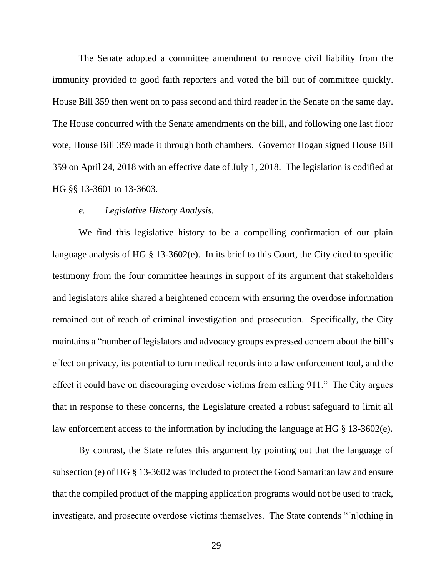The Senate adopted a committee amendment to remove civil liability from the immunity provided to good faith reporters and voted the bill out of committee quickly. House Bill 359 then went on to pass second and third reader in the Senate on the same day. The House concurred with the Senate amendments on the bill, and following one last floor vote, House Bill 359 made it through both chambers. Governor Hogan signed House Bill 359 on April 24, 2018 with an effective date of July 1, 2018. The legislation is codified at HG §§ 13-3601 to 13-3603.

#### *e. Legislative History Analysis.*

We find this legislative history to be a compelling confirmation of our plain language analysis of HG § 13-3602(e). In its brief to this Court, the City cited to specific testimony from the four committee hearings in support of its argument that stakeholders and legislators alike shared a heightened concern with ensuring the overdose information remained out of reach of criminal investigation and prosecution. Specifically, the City maintains a "number of legislators and advocacy groups expressed concern about the bill's effect on privacy, its potential to turn medical records into a law enforcement tool, and the effect it could have on discouraging overdose victims from calling 911." The City argues that in response to these concerns, the Legislature created a robust safeguard to limit all law enforcement access to the information by including the language at HG § 13-3602(e).

By contrast, the State refutes this argument by pointing out that the language of subsection (e) of HG § 13-3602 was included to protect the Good Samaritan law and ensure that the compiled product of the mapping application programs would not be used to track, investigate, and prosecute overdose victims themselves. The State contends "[n]othing in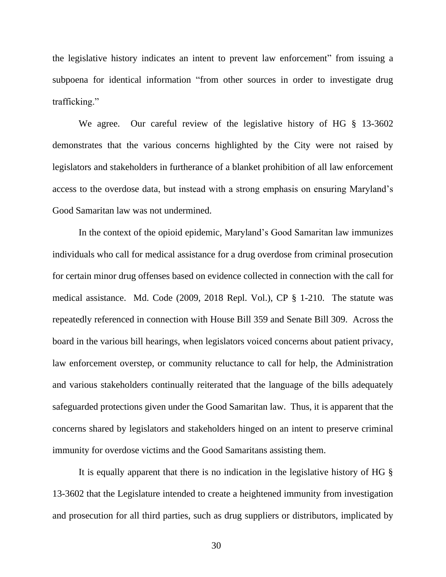the legislative history indicates an intent to prevent law enforcement" from issuing a subpoena for identical information "from other sources in order to investigate drug trafficking."

We agree. Our careful review of the legislative history of HG § 13-3602 demonstrates that the various concerns highlighted by the City were not raised by legislators and stakeholders in furtherance of a blanket prohibition of all law enforcement access to the overdose data, but instead with a strong emphasis on ensuring Maryland's Good Samaritan law was not undermined.

In the context of the opioid epidemic, Maryland's Good Samaritan law immunizes individuals who call for medical assistance for a drug overdose from criminal prosecution for certain minor drug offenses based on evidence collected in connection with the call for medical assistance. Md. Code (2009, 2018 Repl. Vol.), CP § 1-210. The statute was repeatedly referenced in connection with House Bill 359 and Senate Bill 309. Across the board in the various bill hearings, when legislators voiced concerns about patient privacy, law enforcement overstep, or community reluctance to call for help, the Administration and various stakeholders continually reiterated that the language of the bills adequately safeguarded protections given under the Good Samaritan law. Thus, it is apparent that the concerns shared by legislators and stakeholders hinged on an intent to preserve criminal immunity for overdose victims and the Good Samaritans assisting them.

It is equally apparent that there is no indication in the legislative history of HG § 13-3602 that the Legislature intended to create a heightened immunity from investigation and prosecution for all third parties, such as drug suppliers or distributors, implicated by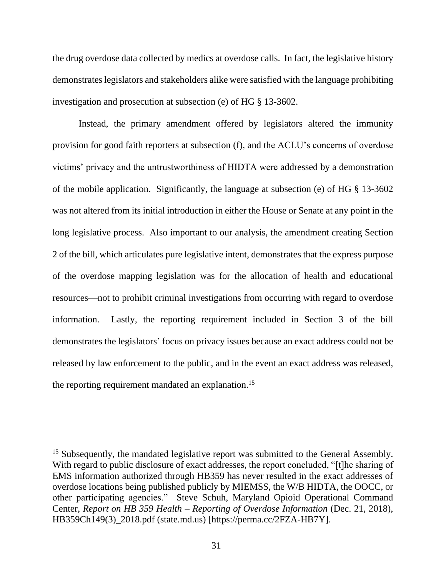the drug overdose data collected by medics at overdose calls. In fact, the legislative history demonstrates legislators and stakeholders alike were satisfied with the language prohibiting investigation and prosecution at subsection (e) of HG § 13-3602.

Instead, the primary amendment offered by legislators altered the immunity provision for good faith reporters at subsection (f), and the ACLU's concerns of overdose victims' privacy and the untrustworthiness of HIDTA were addressed by a demonstration of the mobile application. Significantly, the language at subsection (e) of HG § 13-3602 was not altered from its initial introduction in either the House or Senate at any point in the long legislative process. Also important to our analysis, the amendment creating Section 2 of the bill, which articulates pure legislative intent, demonstrates that the express purpose of the overdose mapping legislation was for the allocation of health and educational resources—not to prohibit criminal investigations from occurring with regard to overdose information. Lastly, the reporting requirement included in Section 3 of the bill demonstrates the legislators' focus on privacy issues because an exact address could not be released by law enforcement to the public, and in the event an exact address was released, the reporting requirement mandated an explanation.<sup>15</sup>

<sup>&</sup>lt;sup>15</sup> Subsequently, the mandated legislative report was submitted to the General Assembly. With regard to public disclosure of exact addresses, the report concluded, "[t]he sharing of EMS information authorized through HB359 has never resulted in the exact addresses of overdose locations being published publicly by MIEMSS, the W/B HIDTA, the OOCC, or other participating agencies." Steve Schuh, Maryland Opioid Operational Command Center, *Report on HB 359 Health – Reporting of Overdose Information* (Dec. 21, 2018), HB359Ch149(3)\_2018.pdf (state.md.us) [https://perma.cc/2FZA-HB7Y].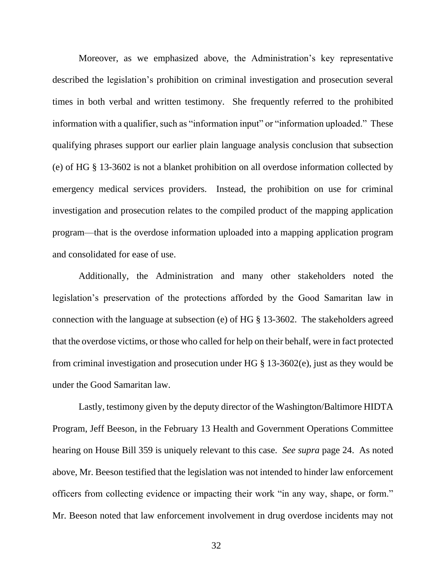Moreover, as we emphasized above, the Administration's key representative described the legislation's prohibition on criminal investigation and prosecution several times in both verbal and written testimony. She frequently referred to the prohibited information with a qualifier, such as "information input" or "information uploaded." These qualifying phrases support our earlier plain language analysis conclusion that subsection (e) of HG § 13-3602 is not a blanket prohibition on all overdose information collected by emergency medical services providers. Instead, the prohibition on use for criminal investigation and prosecution relates to the compiled product of the mapping application program—that is the overdose information uploaded into a mapping application program and consolidated for ease of use.

Additionally, the Administration and many other stakeholders noted the legislation's preservation of the protections afforded by the Good Samaritan law in connection with the language at subsection (e) of HG § 13-3602. The stakeholders agreed that the overdose victims, or those who called for help on their behalf, were in fact protected from criminal investigation and prosecution under HG § 13-3602(e), just as they would be under the Good Samaritan law.

Lastly, testimony given by the deputy director of the Washington/Baltimore HIDTA Program, Jeff Beeson, in the February 13 Health and Government Operations Committee hearing on House Bill 359 is uniquely relevant to this case. *See supra* page 24. As noted above, Mr. Beeson testified that the legislation was not intended to hinder law enforcement officers from collecting evidence or impacting their work "in any way, shape, or form." Mr. Beeson noted that law enforcement involvement in drug overdose incidents may not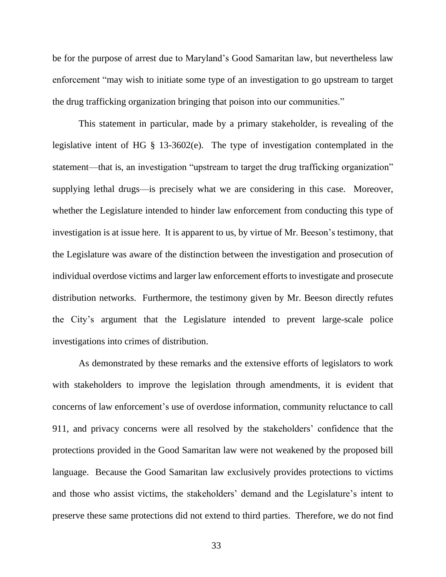be for the purpose of arrest due to Maryland's Good Samaritan law, but nevertheless law enforcement "may wish to initiate some type of an investigation to go upstream to target the drug trafficking organization bringing that poison into our communities."

This statement in particular, made by a primary stakeholder, is revealing of the legislative intent of HG § 13-3602(e). The type of investigation contemplated in the statement—that is, an investigation "upstream to target the drug trafficking organization" supplying lethal drugs—is precisely what we are considering in this case. Moreover, whether the Legislature intended to hinder law enforcement from conducting this type of investigation is at issue here. It is apparent to us, by virtue of Mr. Beeson's testimony, that the Legislature was aware of the distinction between the investigation and prosecution of individual overdose victims and larger law enforcement efforts to investigate and prosecute distribution networks. Furthermore, the testimony given by Mr. Beeson directly refutes the City's argument that the Legislature intended to prevent large-scale police investigations into crimes of distribution.

As demonstrated by these remarks and the extensive efforts of legislators to work with stakeholders to improve the legislation through amendments, it is evident that concerns of law enforcement's use of overdose information, community reluctance to call 911, and privacy concerns were all resolved by the stakeholders' confidence that the protections provided in the Good Samaritan law were not weakened by the proposed bill language. Because the Good Samaritan law exclusively provides protections to victims and those who assist victims, the stakeholders' demand and the Legislature's intent to preserve these same protections did not extend to third parties. Therefore, we do not find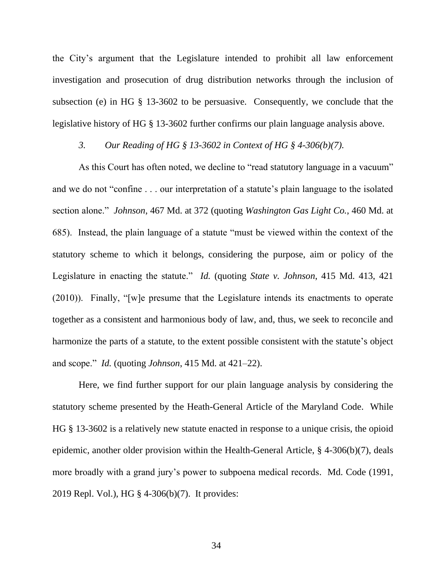the City's argument that the Legislature intended to prohibit all law enforcement investigation and prosecution of drug distribution networks through the inclusion of subsection (e) in HG § 13-3602 to be persuasive. Consequently, we conclude that the legislative history of HG § 13-3602 further confirms our plain language analysis above.

# *3. Our Reading of HG § 13-3602 in Context of HG § 4-306(b)(7).*

As this Court has often noted, we decline to "read statutory language in a vacuum" and we do not "confine . . . our interpretation of a statute's plain language to the isolated section alone." *Johnson*, 467 Md. at 372 (quoting *Washington Gas Light Co.*, 460 Md. at 685). Instead, the plain language of a statute "must be viewed within the context of the statutory scheme to which it belongs, considering the purpose, aim or policy of the Legislature in enacting the statute." *Id.* (quoting *State v. Johnson*, 415 Md. 413, 421 (2010)). Finally, "[w]e presume that the Legislature intends its enactments to operate together as a consistent and harmonious body of law, and, thus, we seek to reconcile and harmonize the parts of a statute, to the extent possible consistent with the statute's object and scope." *Id.* (quoting *Johnson*, 415 Md. at 421–22).

Here, we find further support for our plain language analysis by considering the statutory scheme presented by the Heath-General Article of the Maryland Code. While HG § 13-3602 is a relatively new statute enacted in response to a unique crisis, the opioid epidemic, another older provision within the Health-General Article, § 4-306(b)(7), deals more broadly with a grand jury's power to subpoena medical records. Md. Code (1991, 2019 Repl. Vol.), HG § 4-306(b)(7). It provides: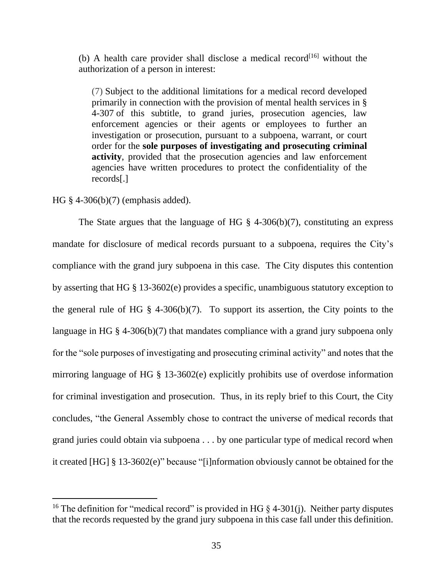(b) A health care provider shall disclose a medical record<sup>[16]</sup> without the authorization of a person in interest:

(7) Subject to the additional limitations for a medical record developed primarily in connection with the provision of mental health services in [§](https://1.next.westlaw.com/Link/Document/FullText?findType=L&pubNum=1000028&cite=MDHGS4-307&originatingDoc=NC0574380853711E8BDB393B3CCCAE216&refType=LQ&originationContext=document&transitionType=DocumentItem&contextData=(sc.Document))  [4-307](https://1.next.westlaw.com/Link/Document/FullText?findType=L&pubNum=1000028&cite=MDHGS4-307&originatingDoc=NC0574380853711E8BDB393B3CCCAE216&refType=LQ&originationContext=document&transitionType=DocumentItem&contextData=(sc.Document)) of this subtitle, to grand juries, prosecution agencies, law enforcement agencies or their agents or employees to further an investigation or prosecution, pursuant to a subpoena, warrant, or court order for the **sole purposes of investigating and prosecuting criminal activity**, provided that the prosecution agencies and law enforcement agencies have written procedures to protect the confidentiality of the records[.]

### HG § 4-306(b)(7) (emphasis added).

The State argues that the language of HG  $\S$  4-306(b)(7), constituting an express mandate for disclosure of medical records pursuant to a subpoena, requires the City's compliance with the grand jury subpoena in this case. The City disputes this contention by asserting that HG § 13-3602(e) provides a specific, unambiguous statutory exception to the general rule of HG  $\S$  4-306(b)(7). To support its assertion, the City points to the language in HG § 4-306(b)(7) that mandates compliance with a grand jury subpoena only for the "sole purposes of investigating and prosecuting criminal activity" and notes that the mirroring language of HG § 13-3602(e) explicitly prohibits use of overdose information for criminal investigation and prosecution. Thus, in its reply brief to this Court, the City concludes, "the General Assembly chose to contract the universe of medical records that grand juries could obtain via subpoena . . . by one particular type of medical record when it created [HG] § 13-3602(e)" because "[i]nformation obviously cannot be obtained for the

<sup>&</sup>lt;sup>16</sup> The definition for "medical record" is provided in HG  $\S$  4-301(j). Neither party disputes that the records requested by the grand jury subpoena in this case fall under this definition.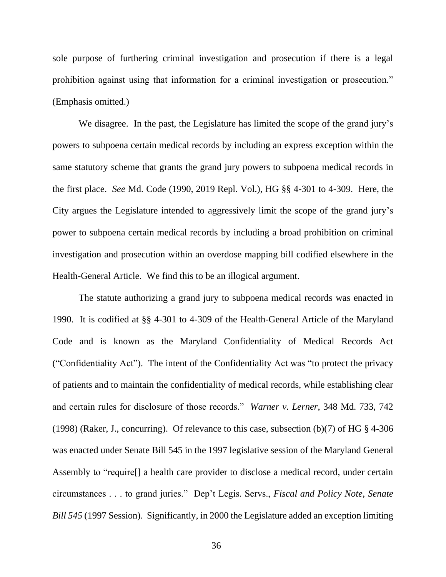sole purpose of furthering criminal investigation and prosecution if there is a legal prohibition against using that information for a criminal investigation or prosecution." (Emphasis omitted.)

We disagree. In the past, the Legislature has limited the scope of the grand jury's powers to subpoena certain medical records by including an express exception within the same statutory scheme that grants the grand jury powers to subpoena medical records in the first place. *See* Md. Code (1990, 2019 Repl. Vol.), HG §§ 4-301 to 4-309. Here, the City argues the Legislature intended to aggressively limit the scope of the grand jury's power to subpoena certain medical records by including a broad prohibition on criminal investigation and prosecution within an overdose mapping bill codified elsewhere in the Health-General Article. We find this to be an illogical argument.

The statute authorizing a grand jury to subpoena medical records was enacted in 1990. It is codified at §§ 4-301 to 4-309 of the Health-General Article of the Maryland Code and is known as the Maryland Confidentiality of Medical Records Act ("Confidentiality Act"). The intent of the Confidentiality Act was "to protect the privacy of patients and to maintain the confidentiality of medical records, while establishing clear and certain rules for disclosure of those records." *Warner v. Lerner*, 348 Md. 733, 742 (1998) (Raker, J., concurring). Of relevance to this case, subsection (b)(7) of HG § 4-306 was enacted under Senate Bill 545 in the 1997 legislative session of the Maryland General Assembly to "require[] a health care provider to disclose a medical record, under certain circumstances . . . to grand juries." Dep't Legis. Servs., *Fiscal and Policy Note*, *Senate Bill 545* (1997 Session). Significantly, in 2000 the Legislature added an exception limiting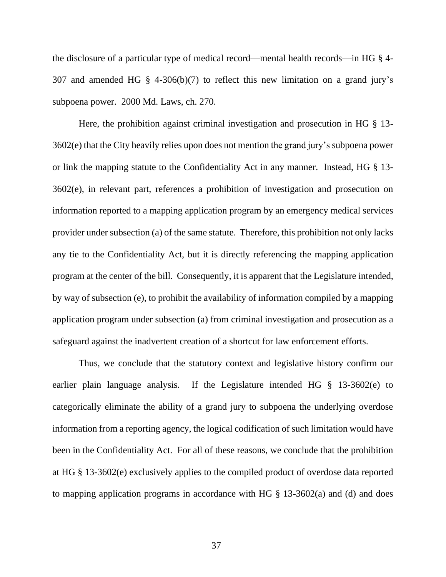the disclosure of a particular type of medical record—mental health records—in HG § 4- 307 and amended HG § 4-306(b)(7) to reflect this new limitation on a grand jury's subpoena power. 2000 Md. Laws, ch. 270.

Here, the prohibition against criminal investigation and prosecution in HG § 13- 3602(e) that the City heavily relies upon does not mention the grand jury's subpoena power or link the mapping statute to the Confidentiality Act in any manner. Instead, HG § 13- 3602(e), in relevant part, references a prohibition of investigation and prosecution on information reported to a mapping application program by an emergency medical services provider under subsection (a) of the same statute. Therefore, this prohibition not only lacks any tie to the Confidentiality Act, but it is directly referencing the mapping application program at the center of the bill. Consequently, it is apparent that the Legislature intended, by way of subsection (e), to prohibit the availability of information compiled by a mapping application program under subsection (a) from criminal investigation and prosecution as a safeguard against the inadvertent creation of a shortcut for law enforcement efforts.

Thus, we conclude that the statutory context and legislative history confirm our earlier plain language analysis. If the Legislature intended HG § 13-3602(e) to categorically eliminate the ability of a grand jury to subpoena the underlying overdose information from a reporting agency, the logical codification of such limitation would have been in the Confidentiality Act. For all of these reasons, we conclude that the prohibition at HG § 13-3602(e) exclusively applies to the compiled product of overdose data reported to mapping application programs in accordance with HG  $\S$  13-3602(a) and (d) and does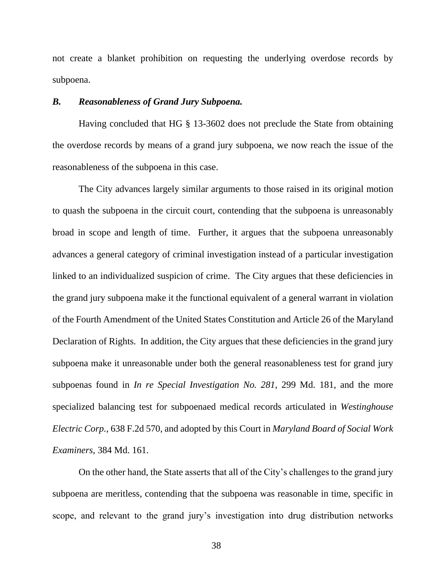not create a blanket prohibition on requesting the underlying overdose records by subpoena.

### *B. Reasonableness of Grand Jury Subpoena.*

Having concluded that HG § 13-3602 does not preclude the State from obtaining the overdose records by means of a grand jury subpoena, we now reach the issue of the reasonableness of the subpoena in this case.

The City advances largely similar arguments to those raised in its original motion to quash the subpoena in the circuit court, contending that the subpoena is unreasonably broad in scope and length of time. Further, it argues that the subpoena unreasonably advances a general category of criminal investigation instead of a particular investigation linked to an individualized suspicion of crime. The City argues that these deficiencies in the grand jury subpoena make it the functional equivalent of a general warrant in violation of the Fourth Amendment of the United States Constitution and Article 26 of the Maryland Declaration of Rights. In addition, the City argues that these deficiencies in the grand jury subpoena make it unreasonable under both the general reasonableness test for grand jury subpoenas found in *In re Special Investigation No. 281*, 299 Md. 181, and the more specialized balancing test for subpoenaed medical records articulated in *Westinghouse Electric Corp.*, 638 F.2d 570, and adopted by this Court in *Maryland Board of Social Work Examiners*, 384 Md. 161.

On the other hand, the State asserts that all of the City's challenges to the grand jury subpoena are meritless, contending that the subpoena was reasonable in time, specific in scope, and relevant to the grand jury's investigation into drug distribution networks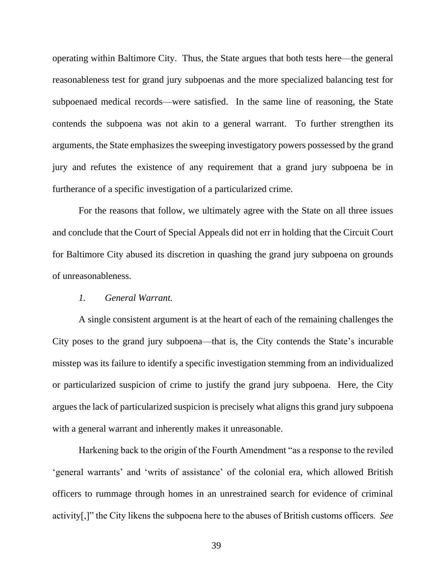operating within Baltimore City. Thus, the State argues that both tests here—the general reasonableness test for grand jury subpoenas and the more specialized balancing test for subpoenaed medical records—were satisfied. In the same line of reasoning, the State contends the subpoena was not akin to a general warrant. To further strengthen its arguments, the State emphasizes the sweeping investigatory powers possessed by the grand jury and refutes the existence of any requirement that a grand jury subpoena be in furtherance of a specific investigation of a particularized crime.

For the reasons that follow, we ultimately agree with the State on all three issues and conclude that the Court of Special Appeals did not err in holding that the Circuit Court for Baltimore City abused its discretion in quashing the grand jury subpoena on grounds of unreasonableness.

# *1. General Warrant.*

A single consistent argument is at the heart of each of the remaining challenges the City poses to the grand jury subpoena—that is, the City contends the State's incurable misstep was its failure to identify a specific investigation stemming from an individualized or particularized suspicion of crime to justify the grand jury subpoena. Here, the City argues the lack of particularized suspicion is precisely what aligns this grand jury subpoena with a general warrant and inherently makes it unreasonable.

Harkening back to the origin of the Fourth Amendment "as a response to the reviled 'general warrants' and 'writs of assistance' of the colonial era, which allowed British officers to rummage through homes in an unrestrained search for evidence of criminal activity[,]" the City likens the subpoena here to the abuses of British customs officers. *See*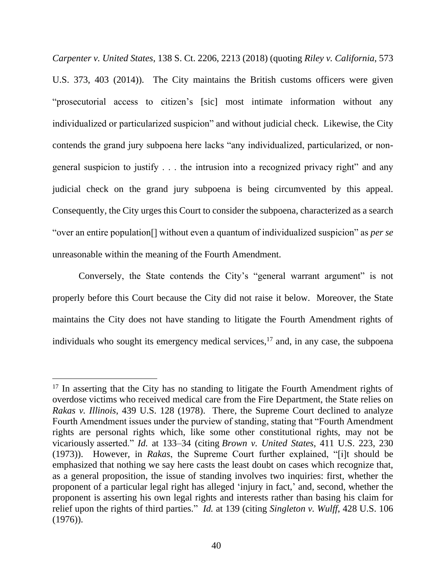*Carpenter v. United States*, 138 S. Ct. 2206, 2213 (2018) (quoting *Riley v. California*, 573 U.S. 373, 403 (2014)). The City maintains the British customs officers were given "prosecutorial access to citizen's [sic] most intimate information without any individualized or particularized suspicion" and without judicial check. Likewise, the City contends the grand jury subpoena here lacks "any individualized, particularized, or nongeneral suspicion to justify . . . the intrusion into a recognized privacy right" and any judicial check on the grand jury subpoena is being circumvented by this appeal. Consequently, the City urges this Court to consider the subpoena, characterized as a search "over an entire population[] without even a quantum of individualized suspicion" as *per se* unreasonable within the meaning of the Fourth Amendment.

Conversely, the State contends the City's "general warrant argument" is not properly before this Court because the City did not raise it below. Moreover, the State maintains the City does not have standing to litigate the Fourth Amendment rights of individuals who sought its emergency medical services,<sup>17</sup> and, in any case, the subpoena

 $17$  In asserting that the City has no standing to litigate the Fourth Amendment rights of overdose victims who received medical care from the Fire Department, the State relies on *Rakas v. Illinois*, 439 U.S. 128 (1978). There, the Supreme Court declined to analyze Fourth Amendment issues under the purview of standing, stating that "Fourth Amendment rights are personal rights which, like some other constitutional rights, may not be vicariously asserted." *Id.* at 133–34 (citing *Brown v. United States*, 411 U.S. 223, 230 (1973)). However, in *Rakas*, the Supreme Court further explained, "[i]t should be emphasized that nothing we say here casts the least doubt on cases which recognize that, as a general proposition, the issue of standing involves two inquiries: first, whether the proponent of a particular legal right has alleged 'injury in fact,' and, second, whether the proponent is asserting his own legal rights and interests rather than basing his claim for relief upon the rights of third parties." *Id.* at 139 (citing *Singleton v. Wulff*, 428 U.S. 106 (1976)).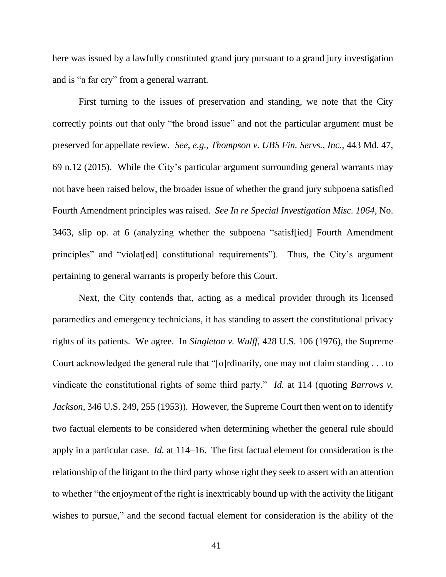here was issued by a lawfully constituted grand jury pursuant to a grand jury investigation and is "a far cry" from a general warrant.

First turning to the issues of preservation and standing, we note that the City correctly points out that only "the broad issue" and not the particular argument must be preserved for appellate review. *See, e.g.*, *Thompson v. UBS Fin. Servs., Inc.*, 443 Md. 47, 69 n.12 (2015). While the City's particular argument surrounding general warrants may not have been raised below, the broader issue of whether the grand jury subpoena satisfied Fourth Amendment principles was raised. *See In re Special Investigation Misc. 1064*, No. 3463, slip op. at 6 (analyzing whether the subpoena "satisf[ied] Fourth Amendment principles" and "violat[ed] constitutional requirements"). Thus, the City's argument pertaining to general warrants is properly before this Court.

Next, the City contends that, acting as a medical provider through its licensed paramedics and emergency technicians, it has standing to assert the constitutional privacy rights of its patients. We agree. In *Singleton v. Wulff*, 428 U.S. 106 (1976), the Supreme Court acknowledged the general rule that "[o]rdinarily, one may not claim standing . . . to vindicate the constitutional rights of some third party." *Id.* at 114 (quoting *Barrows v. Jackson*, 346 U.S. 249, 255 (1953)). However, the Supreme Court then went on to identify two factual elements to be considered when determining whether the general rule should apply in a particular case. *Id.* at 114–16. The first factual element for consideration is the relationship of the litigant to the third party whose right they seek to assert with an attention to whether "the enjoyment of the right is inextricably bound up with the activity the litigant wishes to pursue," and the second factual element for consideration is the ability of the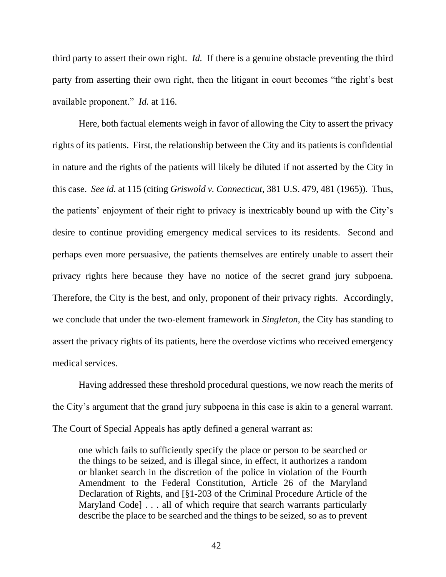third party to assert their own right. *Id.* If there is a genuine obstacle preventing the third party from asserting their own right, then the litigant in court becomes "the right's best available proponent." *Id.* at 116.

Here, both factual elements weigh in favor of allowing the City to assert the privacy rights of its patients. First, the relationship between the City and its patients is confidential in nature and the rights of the patients will likely be diluted if not asserted by the City in this case. *See id.* at 115 (citing *Griswold v. Connecticut*, 381 U.S. 479, 481 (1965)). Thus, the patients' enjoyment of their right to privacy is inextricably bound up with the City's desire to continue providing emergency medical services to its residents. Second and perhaps even more persuasive, the patients themselves are entirely unable to assert their privacy rights here because they have no notice of the secret grand jury subpoena. Therefore, the City is the best, and only, proponent of their privacy rights. Accordingly, we conclude that under the two-element framework in *Singleton*, the City has standing to assert the privacy rights of its patients, here the overdose victims who received emergency medical services.

Having addressed these threshold procedural questions, we now reach the merits of the City's argument that the grand jury subpoena in this case is akin to a general warrant. The Court of Special Appeals has aptly defined a general warrant as:

one which fails to sufficiently specify the place or person to be searched or the things to be seized, and is illegal since, in effect, it authorizes a random or blanket search in the discretion of the police in violation of the Fourth Amendment to the Federal Constitution, Article 26 of the Maryland Declaration of Rights, and [§1-203 of the Criminal Procedure Article of the Maryland Code] . . . all of which require that search warrants particularly describe the place to be searched and the things to be seized, so as to prevent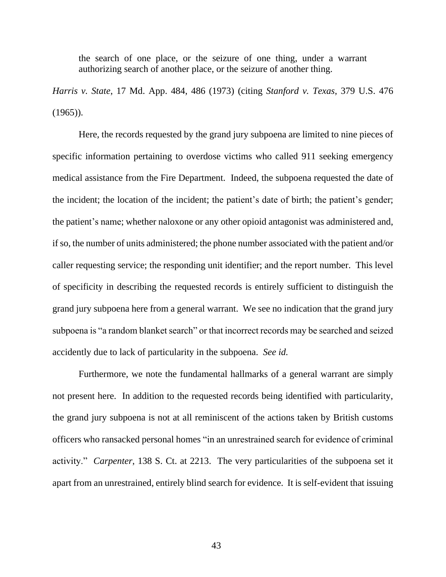the search of one place, or the seizure of one thing, under a warrant authorizing search of another place, or the seizure of another thing.

*Harris v. State*, 17 Md. App. 484, 486 (1973) (citing *Stanford v. Texas*, 379 U.S. 476  $(1965)$ ).

Here, the records requested by the grand jury subpoena are limited to nine pieces of specific information pertaining to overdose victims who called 911 seeking emergency medical assistance from the Fire Department. Indeed, the subpoena requested the date of the incident; the location of the incident; the patient's date of birth; the patient's gender; the patient's name; whether naloxone or any other opioid antagonist was administered and, if so, the number of units administered; the phone number associated with the patient and/or caller requesting service; the responding unit identifier; and the report number. This level of specificity in describing the requested records is entirely sufficient to distinguish the grand jury subpoena here from a general warrant. We see no indication that the grand jury subpoena is "a random blanket search" or that incorrect records may be searched and seized accidently due to lack of particularity in the subpoena. *See id.*

Furthermore, we note the fundamental hallmarks of a general warrant are simply not present here. In addition to the requested records being identified with particularity, the grand jury subpoena is not at all reminiscent of the actions taken by British customs officers who ransacked personal homes "in an unrestrained search for evidence of criminal activity." *Carpenter*, 138 S. Ct. at 2213. The very particularities of the subpoena set it apart from an unrestrained, entirely blind search for evidence. It is self-evident that issuing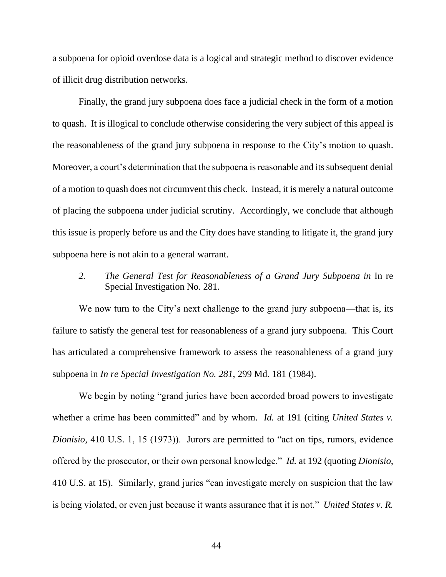a subpoena for opioid overdose data is a logical and strategic method to discover evidence of illicit drug distribution networks.

Finally, the grand jury subpoena does face a judicial check in the form of a motion to quash. It is illogical to conclude otherwise considering the very subject of this appeal is the reasonableness of the grand jury subpoena in response to the City's motion to quash. Moreover, a court's determination that the subpoena is reasonable and its subsequent denial of a motion to quash does not circumvent this check. Instead, it is merely a natural outcome of placing the subpoena under judicial scrutiny. Accordingly, we conclude that although this issue is properly before us and the City does have standing to litigate it, the grand jury subpoena here is not akin to a general warrant.

*2. The General Test for Reasonableness of a Grand Jury Subpoena in* In re Special Investigation No. 281.

We now turn to the City's next challenge to the grand jury subpoena—that is, its failure to satisfy the general test for reasonableness of a grand jury subpoena. This Court has articulated a comprehensive framework to assess the reasonableness of a grand jury subpoena in *In re Special Investigation No. 281*, 299 Md. 181 (1984).

We begin by noting "grand juries have been accorded broad powers to investigate whether a crime has been committed" and by whom. *Id.* at 191 (citing *United States v. Dionisio*, 410 U.S. 1, 15 (1973)). Jurors are permitted to "act on tips, rumors, evidence offered by the prosecutor, or their own personal knowledge." *Id.* at 192 (quoting *Dionisio*, 410 U.S. at 15). Similarly, grand juries "can investigate merely on suspicion that the law is being violated, or even just because it wants assurance that it is not." *United States v. R.*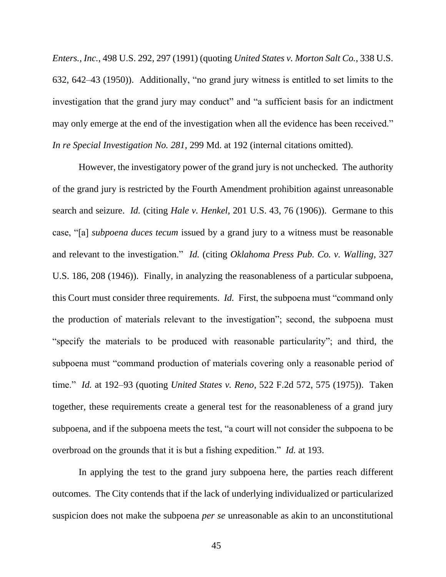*Enters., Inc.*, 498 U.S. 292, 297 (1991) (quoting *United States v. Morton Salt Co.*, 338 U.S. 632, 642–43 (1950)). Additionally, "no grand jury witness is entitled to set limits to the investigation that the grand jury may conduct" and "a sufficient basis for an indictment may only emerge at the end of the investigation when all the evidence has been received." *In re Special Investigation No. 281,* 299 Md. at 192 (internal citations omitted).

However, the investigatory power of the grand jury is not unchecked. The authority of the grand jury is restricted by the Fourth Amendment prohibition against unreasonable search and seizure. *Id.* (citing *Hale v. Henkel*, 201 U.S. 43, 76 (1906)). Germane to this case, "[a] *subpoena duces tecum* issued by a grand jury to a witness must be reasonable and relevant to the investigation." *Id.* (citing *Oklahoma Press Pub. Co. v. Walling*, 327 U.S. 186, 208 (1946)). Finally, in analyzing the reasonableness of a particular subpoena, this Court must consider three requirements. *Id.* First, the subpoena must "command only the production of materials relevant to the investigation"; second, the subpoena must "specify the materials to be produced with reasonable particularity"; and third, the subpoena must "command production of materials covering only a reasonable period of time." *Id.* at 192–93 (quoting *United States v. Reno*, 522 F.2d 572, 575 (1975)). Taken together, these requirements create a general test for the reasonableness of a grand jury subpoena, and if the subpoena meets the test, "a court will not consider the subpoena to be overbroad on the grounds that it is but a fishing expedition." *Id.* at 193.

In applying the test to the grand jury subpoena here, the parties reach different outcomes. The City contends that if the lack of underlying individualized or particularized suspicion does not make the subpoena *per se* unreasonable as akin to an unconstitutional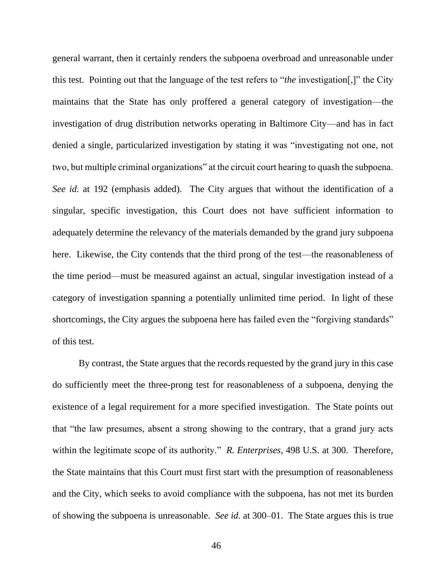general warrant, then it certainly renders the subpoena overbroad and unreasonable under this test. Pointing out that the language of the test refers to "*the* investigation[,]" the City maintains that the State has only proffered a general category of investigation—the investigation of drug distribution networks operating in Baltimore City—and has in fact denied a single, particularized investigation by stating it was "investigating not one, not two, but multiple criminal organizations" at the circuit court hearing to quash the subpoena. *See id.* at 192 (emphasis added). The City argues that without the identification of a singular, specific investigation, this Court does not have sufficient information to adequately determine the relevancy of the materials demanded by the grand jury subpoena here. Likewise, the City contends that the third prong of the test—the reasonableness of the time period—must be measured against an actual, singular investigation instead of a category of investigation spanning a potentially unlimited time period. In light of these shortcomings, the City argues the subpoena here has failed even the "forgiving standards" of this test.

By contrast, the State argues that the records requested by the grand jury in this case do sufficiently meet the three-prong test for reasonableness of a subpoena, denying the existence of a legal requirement for a more specified investigation. The State points out that "the law presumes, absent a strong showing to the contrary, that a grand jury acts within the legitimate scope of its authority." *R. Enterprises*, 498 U.S. at 300. Therefore, the State maintains that this Court must first start with the presumption of reasonableness and the City, which seeks to avoid compliance with the subpoena, has not met its burden of showing the subpoena is unreasonable. *See id.* at 300–01. The State argues this is true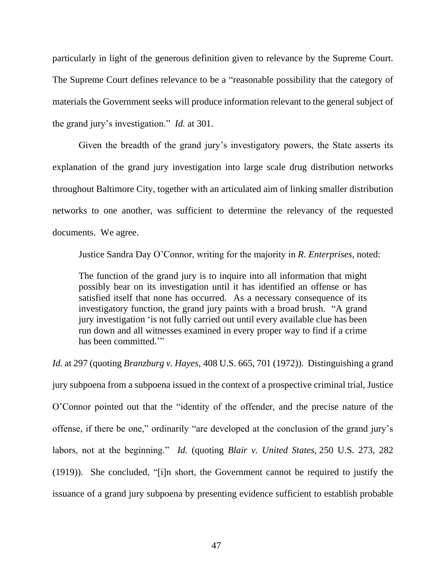particularly in light of the generous definition given to relevance by the Supreme Court. The Supreme Court defines relevance to be a "reasonable possibility that the category of materials the Government seeks will produce information relevant to the general subject of the grand jury's investigation." *Id.* at 301.

Given the breadth of the grand jury's investigatory powers, the State asserts its explanation of the grand jury investigation into large scale drug distribution networks throughout Baltimore City, together with an articulated aim of linking smaller distribution networks to one another, was sufficient to determine the relevancy of the requested documents. We agree.

Justice Sandra Day O'Connor, writing for the majority in *R. Enterprises*, noted:

The function of the grand jury is to inquire into all information that might possibly bear on its investigation until it has identified an offense or has satisfied itself that none has occurred. As a necessary consequence of its investigatory function, the grand jury paints with a broad brush. "A grand jury investigation 'is not fully carried out until every available clue has been run down and all witnesses examined in every proper way to find if a crime has been committed."

*Id.* at 297 (quoting *[Branzburg v. Hayes,](https://1.next.westlaw.com/Link/Document/FullText?findType=Y&serNum=1972127190&pubNum=708&originatingDoc=I86316cb39c9011d993e6d35cc61aab4a&refType=RP&fi=co_pp_sp_708_2667&originationContext=document&transitionType=DocumentItem&contextData=(sc.Default)#co_pp_sp_708_2667)* 408 U.S. 665, 701 (1972)). Distinguishing a grand jury subpoena from a subpoena issued in the context of a prospective criminal trial, Justice O'Connor pointed out that the "identity of the offender, and the precise nature of the offense, if there be one," ordinarily "are developed at the conclusion of the grand jury's labors, not at the beginning." *Id.* (quoting *[Blair v. United States,](https://1.next.westlaw.com/Link/Document/FullText?findType=Y&serNum=1919100438&pubNum=708&originatingDoc=I86316cb39c9011d993e6d35cc61aab4a&refType=RP&fi=co_pp_sp_708_471&originationContext=document&transitionType=DocumentItem&contextData=(sc.Default)#co_pp_sp_708_471)* 250 U.S. 273, 282 [\(1919\)\)](https://1.next.westlaw.com/Link/Document/FullText?findType=Y&serNum=1919100438&pubNum=708&originatingDoc=I86316cb39c9011d993e6d35cc61aab4a&refType=RP&fi=co_pp_sp_708_471&originationContext=document&transitionType=DocumentItem&contextData=(sc.Default)#co_pp_sp_708_471). She concluded, "[i]n short, the Government cannot be required to justify the issuance of a grand jury subpoena by presenting evidence sufficient to establish probable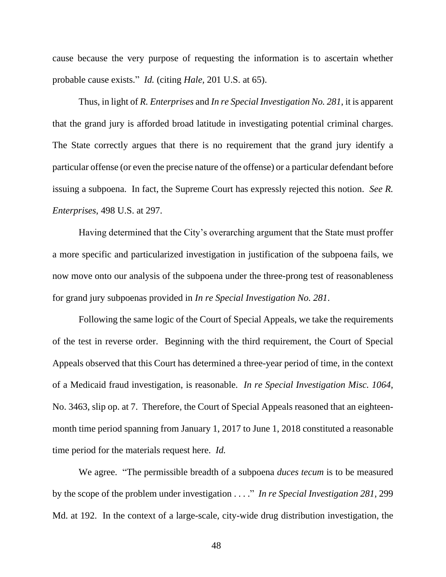cause because the very purpose of requesting the information is to ascertain whether probable cause exists." *Id.* (citing *Hale,* [201 U.S. at](https://1.next.westlaw.com/Link/Document/FullText?findType=Y&serNum=1906100513&pubNum=708&originatingDoc=I86316cb39c9011d993e6d35cc61aab4a&refType=RP&fi=co_pp_sp_708_375&originationContext=document&transitionType=DocumentItem&contextData=(sc.Default)#co_pp_sp_708_375) 65).

Thus, in light of *R. Enterprises* and *In re Special Investigation No. 281*, it is apparent that the grand jury is afforded broad latitude in investigating potential criminal charges. The State correctly argues that there is no requirement that the grand jury identify a particular offense (or even the precise nature of the offense) or a particular defendant before issuing a subpoena. In fact, the Supreme Court has expressly rejected this notion. *See R. Enterprises*, 498 U.S. at 297.

Having determined that the City's overarching argument that the State must proffer a more specific and particularized investigation in justification of the subpoena fails, we now move onto our analysis of the subpoena under the three-prong test of reasonableness for grand jury subpoenas provided in *In re Special Investigation No. 281*.

Following the same logic of the Court of Special Appeals, we take the requirements of the test in reverse order. Beginning with the third requirement, the Court of Special Appeals observed that this Court has determined a three-year period of time, in the context of a Medicaid fraud investigation, is reasonable. *In re Special Investigation Misc. 1064*, No. 3463, slip op. at 7. Therefore, the Court of Special Appeals reasoned that an eighteenmonth time period spanning from January 1, 2017 to June 1, 2018 constituted a reasonable time period for the materials request here. *Id.*

We agree. "The permissible breadth of a subpoena *duces tecum* is to be measured by the scope of the problem under investigation . . . ." *In re Special Investigation 281*, 299 Md. at 192. In the context of a large-scale, city-wide drug distribution investigation, the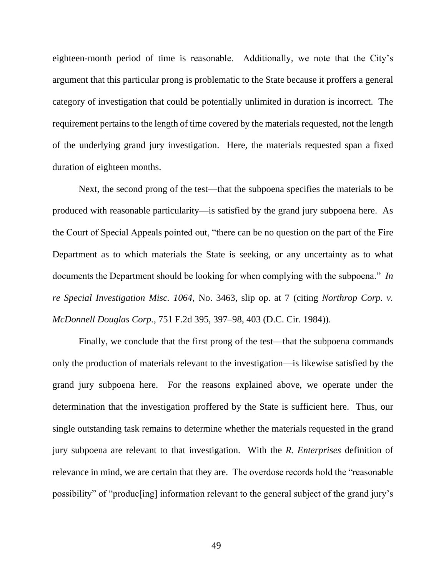eighteen-month period of time is reasonable. Additionally, we note that the City's argument that this particular prong is problematic to the State because it proffers a general category of investigation that could be potentially unlimited in duration is incorrect. The requirement pertains to the length of time covered by the materials requested, not the length of the underlying grand jury investigation. Here, the materials requested span a fixed duration of eighteen months.

Next, the second prong of the test—that the subpoena specifies the materials to be produced with reasonable particularity—is satisfied by the grand jury subpoena here. As the Court of Special Appeals pointed out, "there can be no question on the part of the Fire Department as to which materials the State is seeking, or any uncertainty as to what documents the Department should be looking for when complying with the subpoena." *In re Special Investigation Misc. 1064*, No. 3463, slip op. at 7 (citing *Northrop Corp. v. McDonnell Douglas Corp.*, 751 F.2d 395, 397–98, 403 (D.C. Cir. 1984)).

Finally, we conclude that the first prong of the test—that the subpoena commands only the production of materials relevant to the investigation—is likewise satisfied by the grand jury subpoena here. For the reasons explained above, we operate under the determination that the investigation proffered by the State is sufficient here. Thus, our single outstanding task remains to determine whether the materials requested in the grand jury subpoena are relevant to that investigation. With the *R. Enterprises* definition of relevance in mind, we are certain that they are. The overdose records hold the "reasonable possibility" of "produc[ing] information relevant to the general subject of the grand jury's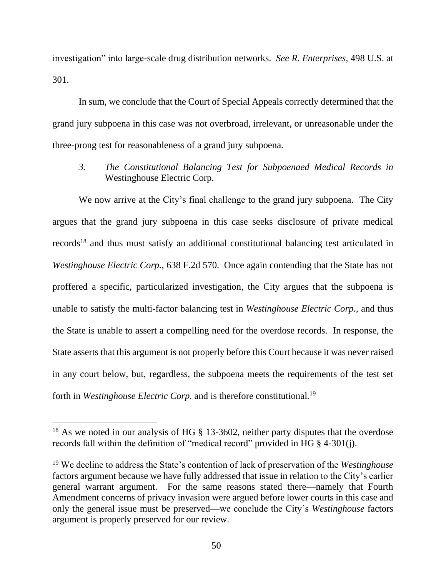investigation" into large-scale drug distribution networks. *See R. Enterprises*, 498 U.S. at 301.

In sum, we conclude that the Court of Special Appeals correctly determined that the grand jury subpoena in this case was not overbroad, irrelevant, or unreasonable under the three-prong test for reasonableness of a grand jury subpoena.

*3. The Constitutional Balancing Test for Subpoenaed Medical Records in* Westinghouse Electric Corp.

We now arrive at the City's final challenge to the grand jury subpoena. The City argues that the grand jury subpoena in this case seeks disclosure of private medical records<sup>18</sup> and thus must satisfy an additional constitutional balancing test articulated in *Westinghouse Electric Corp.*, 638 F.2d 570. Once again contending that the State has not proffered a specific, particularized investigation, the City argues that the subpoena is unable to satisfy the multi-factor balancing test in *Westinghouse Electric Corp.*, and thus the State is unable to assert a compelling need for the overdose records. In response, the State asserts that this argument is not properly before this Court because it was never raised in any court below, but, regardless, the subpoena meets the requirements of the test set forth in *Westinghouse Electric Corp.* and is therefore constitutional*.* 19

<sup>&</sup>lt;sup>18</sup> As we noted in our analysis of HG § 13-3602, neither party disputes that the overdose records fall within the definition of "medical record" provided in HG § 4-301(j).

<sup>19</sup> We decline to address the State's contention of lack of preservation of the *Westinghouse*  factors argument because we have fully addressed that issue in relation to the City's earlier general warrant argument. For the same reasons stated there—namely that Fourth Amendment concerns of privacy invasion were argued before lower courts in this case and only the general issue must be preserved—we conclude the City's *Westinghouse* factors argument is properly preserved for our review.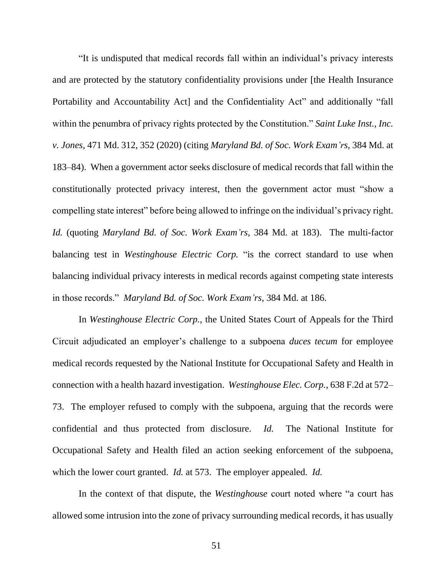"It is undisputed that medical records fall within an individual's privacy interests and are protected by the statutory confidentiality provisions under [the Health Insurance Portability and Accountability Act] and the Confidentiality Act" and additionally "fall within the penumbra of privacy rights protected by the Constitution." *Saint Luke Inst., Inc. v. Jones*, 471 Md. 312, 352 (2020) (citing *Maryland Bd. of Soc. Work Exam'rs*, 384 Md. at 183–84). When a government actor seeks disclosure of medical records that fall within the constitutionally protected privacy interest, then the government actor must "show a compelling state interest" before being allowed to infringe on the individual's privacy right. *Id.* (quoting *Maryland Bd. of Soc. Work Exam'rs*, 384 Md. at 183). The multi-factor balancing test in *Westinghouse Electric Corp.* "is the correct standard to use when balancing individual privacy interests in medical records against competing state interests in those records." *Maryland Bd. of Soc. Work Exam'rs*, 384 Md. at 186.

In *Westinghouse Electric Corp.,* the United States Court of Appeals for the Third Circuit adjudicated an employer's challenge to a subpoena *duces tecum* for employee medical records requested by the National Institute for Occupational Safety and Health in connection with a health hazard investigation. *Westinghouse Elec. Corp.*, 638 F.2d at 572– 73. The employer refused to comply with the subpoena, arguing that the records were confidential and thus protected from disclosure. *Id.* The National Institute for Occupational Safety and Health filed an action seeking enforcement of the subpoena, which the lower court granted. *Id.* at 573.The employer appealed. *Id.* 

In the context of that dispute, the *Westinghouse* court noted where "a court has allowed some intrusion into the zone of privacy surrounding medical records, it has usually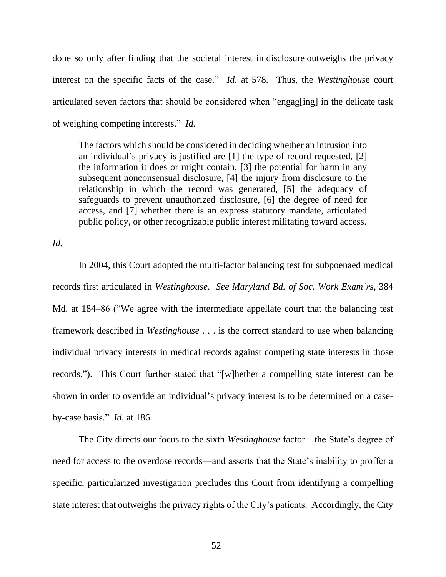done so only after finding that the societal interest in disclosure outweighs the privacy interest on the specific facts of the case." *Id.* at 578. Thus, the *Westinghous*e court articulated seven factors that should be considered when "engag[ing] in the delicate task of weighing competing interests." *Id.*

The factors which should be considered in deciding whether an intrusion into an individual's privacy is justified are [1] the type of record requested, [2] the information it does or might contain, [3] the potential for harm in any subsequent nonconsensual disclosure, [4] the injury from disclosure to the relationship in which the record was generated, [5] the adequacy of safeguards to prevent unauthorized disclosure, [6] the degree of need for access, and [7] whether there is an express statutory mandate, articulated public policy, or other recognizable public interest militating toward access.

*Id.*

In 2004, this Court adopted the multi-factor balancing test for subpoenaed medical records first articulated in *Westinghouse*. *See Maryland Bd. of Soc. Work Exam'rs*, 384 Md. at 184–86 ("We agree with the intermediate appellate court that the balancing test framework described in *Westinghouse* . . . is the correct standard to use when balancing individual privacy interests in medical records against competing state interests in those records."). This Court further stated that "[w]hether a compelling state interest can be shown in order to override an individual's privacy interest is to be determined on a caseby-case basis." *Id.* at 186.

The City directs our focus to the sixth *Westinghouse* factor—the State's degree of need for access to the overdose records—and asserts that the State's inability to proffer a specific, particularized investigation precludes this Court from identifying a compelling state interest that outweighs the privacy rights of the City's patients. Accordingly, the City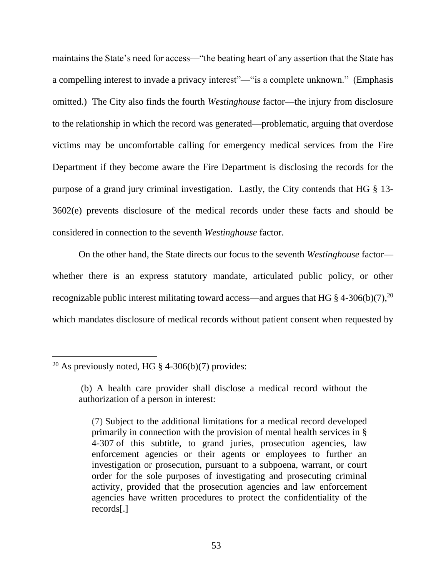maintains the State's need for access—"the beating heart of any assertion that the State has a compelling interest to invade a privacy interest"—"is a complete unknown." (Emphasis omitted.) The City also finds the fourth *Westinghouse* factor—the injury from disclosure to the relationship in which the record was generated—problematic, arguing that overdose victims may be uncomfortable calling for emergency medical services from the Fire Department if they become aware the Fire Department is disclosing the records for the purpose of a grand jury criminal investigation. Lastly, the City contends that HG § 13- 3602(e) prevents disclosure of the medical records under these facts and should be considered in connection to the seventh *Westinghouse* factor.

On the other hand, the State directs our focus to the seventh *Westinghouse* factor whether there is an express statutory mandate, articulated public policy, or other recognizable public interest militating toward access—and argues that HG  $\S$  4-306(b)(7),<sup>20</sup> which mandates disclosure of medical records without patient consent when requested by

<sup>&</sup>lt;sup>20</sup> As previously noted, HG  $\S$  4-306(b)(7) provides:

<sup>(</sup>b) A health care provider shall disclose a medical record without the authorization of a person in interest:

<sup>(7)</sup> Subject to the additional limitations for a medical record developed primarily in connection with the provision of mental health services in [§](https://1.next.westlaw.com/Link/Document/FullText?findType=L&pubNum=1000028&cite=MDHGS4-307&originatingDoc=NC0574380853711E8BDB393B3CCCAE216&refType=LQ&originationContext=document&transitionType=DocumentItem&contextData=(sc.Document))  [4-307](https://1.next.westlaw.com/Link/Document/FullText?findType=L&pubNum=1000028&cite=MDHGS4-307&originatingDoc=NC0574380853711E8BDB393B3CCCAE216&refType=LQ&originationContext=document&transitionType=DocumentItem&contextData=(sc.Document)) of this subtitle, to grand juries, prosecution agencies, law enforcement agencies or their agents or employees to further an investigation or prosecution, pursuant to a subpoena, warrant, or court order for the sole purposes of investigating and prosecuting criminal activity, provided that the prosecution agencies and law enforcement agencies have written procedures to protect the confidentiality of the records[.]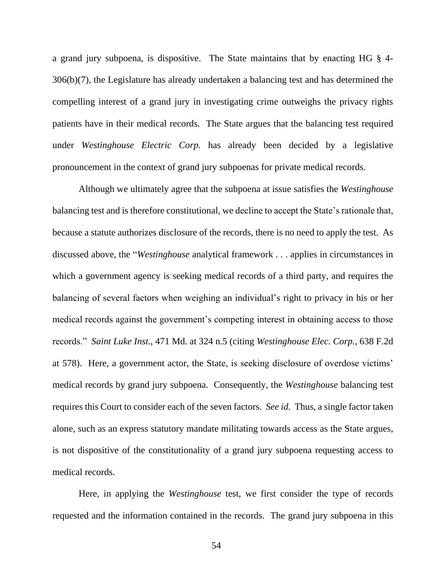a grand jury subpoena, is dispositive. The State maintains that by enacting HG § 4- 306(b)(7), the Legislature has already undertaken a balancing test and has determined the compelling interest of a grand jury in investigating crime outweighs the privacy rights patients have in their medical records. The State argues that the balancing test required under *Westinghouse Electric Corp.* has already been decided by a legislative pronouncement in the context of grand jury subpoenas for private medical records.

Although we ultimately agree that the subpoena at issue satisfies the *Westinghouse* balancing test and is therefore constitutional, we decline to accept the State's rationale that, because a statute authorizes disclosure of the records, there is no need to apply the test. As discussed above, the "*Westinghouse* analytical framework . . . applies in circumstances in which a government agency is seeking medical records of a third party, and requires the balancing of several factors when weighing an individual's right to privacy in his or her medical records against the government's competing interest in obtaining access to those records." *Saint Luke Inst.*, 471 Md. at 324 n.5 (citing *Westinghouse Elec. Corp.*, 638 F.2d at 578). Here, a government actor, the State, is seeking disclosure of overdose victims' medical records by grand jury subpoena. Consequently, the *Westinghouse* balancing test requires this Court to consider each of the seven factors. *See id.* Thus, a single factor taken alone, such as an express statutory mandate militating towards access as the State argues, is not dispositive of the constitutionality of a grand jury subpoena requesting access to medical records.

Here, in applying the *Westinghouse* test, we first consider the type of records requested and the information contained in the records. The grand jury subpoena in this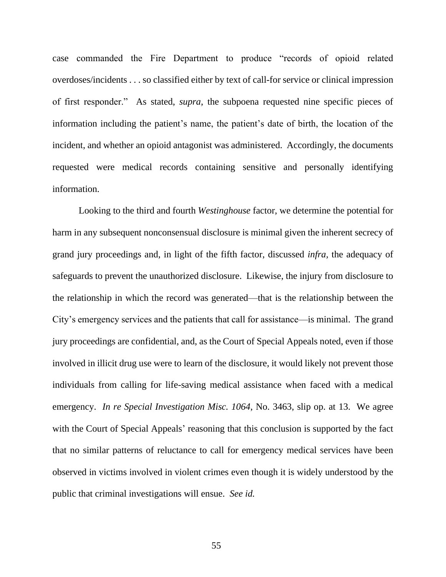case commanded the Fire Department to produce "records of opioid related overdoses/incidents . . . so classified either by text of call-for service or clinical impression of first responder." As stated, *supra*, the subpoena requested nine specific pieces of information including the patient's name, the patient's date of birth, the location of the incident, and whether an opioid antagonist was administered. Accordingly, the documents requested were medical records containing sensitive and personally identifying information.

Looking to the third and fourth *Westinghouse* factor, we determine the potential for harm in any subsequent nonconsensual disclosure is minimal given the inherent secrecy of grand jury proceedings and, in light of the fifth factor, discussed *infra,* the adequacy of safeguards to prevent the unauthorized disclosure. Likewise, the injury from disclosure to the relationship in which the record was generated—that is the relationship between the City's emergency services and the patients that call for assistance—is minimal. The grand jury proceedings are confidential, and, as the Court of Special Appeals noted, even if those involved in illicit drug use were to learn of the disclosure, it would likely not prevent those individuals from calling for life-saving medical assistance when faced with a medical emergency. *In re Special Investigation Misc. 1064*, No. 3463, slip op. at 13. We agree with the Court of Special Appeals' reasoning that this conclusion is supported by the fact that no similar patterns of reluctance to call for emergency medical services have been observed in victims involved in violent crimes even though it is widely understood by the public that criminal investigations will ensue. *See id.*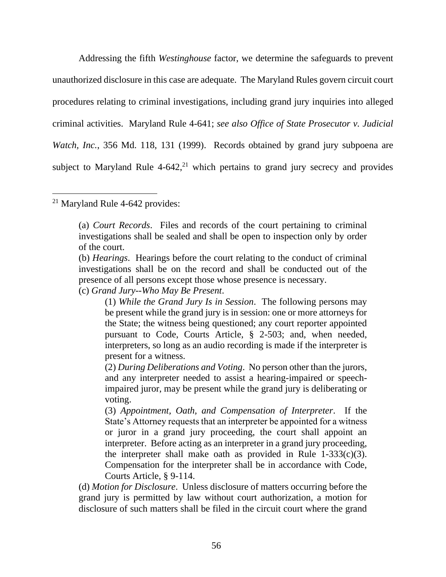Addressing the fifth *Westinghouse* factor, we determine the safeguards to prevent unauthorized disclosure in this case are adequate. The Maryland Rules govern circuit court procedures relating to criminal investigations, including grand jury inquiries into alleged criminal activities. [Maryland Rule 4-641;](https://1.next.westlaw.com/Link/Document/FullText?findType=L&pubNum=1007682&cite=MDRCRR4-641&originatingDoc=I25540e02372a11d986b0aa9c82c164c0&refType=LQ&originationContext=document&transitionType=DocumentItem&contextData=(sc.RelatedInfo)) *see also Office of State Prosecutor v. Judicial Watch, Inc.*, 356 Md. 118, 131 (1999). Records obtained by grand jury subpoena are subject to Maryland Rule  $4-642$ <sup>21</sup> which pertains to grand jury secrecy and provides

# <sup>21</sup> Maryland Rule 4-642 provides:

(c) *Grand Jury--Who May Be Present*.

(d) *Motion for Disclosure*. Unless disclosure of matters occurring before the grand jury is permitted by law without court authorization, a motion for disclosure of such matters shall be filed in the circuit court where the grand

<sup>(</sup>a) *Court Records*. Files and records of the court pertaining to criminal investigations shall be sealed and shall be open to inspection only by order of the court.

<sup>(</sup>b) *Hearings*. Hearings before the court relating to the conduct of criminal investigations shall be on the record and shall be conducted out of the presence of all persons except those whose presence is necessary.

<sup>(1)</sup> *While the Grand Jury Is in Session*. The following persons may be present while the grand jury is in session: one or more attorneys for the State; the witness being questioned; any court reporter appointed pursuant to Code, Courts Article, § 2-503; and, when needed, interpreters, so long as an audio recording is made if the interpreter is present for a witness.

<sup>(2)</sup> *During Deliberations and Voting*. No person other than the jurors, and any interpreter needed to assist a hearing-impaired or speechimpaired juror, may be present while the grand jury is deliberating or voting.

<sup>(3)</sup> *Appointment, Oath, and Compensation of Interpreter*. If the State's Attorney requests that an interpreter be appointed for a witness or juror in a grand jury proceeding, the court shall appoint an interpreter. Before acting as an interpreter in a grand jury proceeding, the interpreter shall make oath as provided in Rule  $\hat{1}$ -333(c)(3). Compensation for the interpreter shall be in accordance with Code, Courts Article, § 9-114.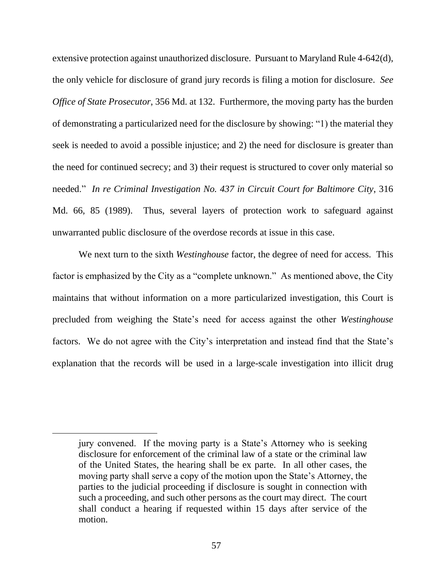extensive protection against unauthorized disclosure. Pursuant to Maryland Rule 4-642(d), the only vehicle for disclosure of grand jury records is filing a motion for disclosure. *See Office of State Prosecutor*, 356 Md. at 132. Furthermore, the moving party has the burden of demonstrating a particularized need for the disclosure by showing: "1) the material they seek is needed to avoid a possible injustice; and 2) the need for disclosure is greater than the need for continued secrecy; and 3) their request is structured to cover only material so needed." *In re Criminal Investigation No. 437 in Circuit Court for Baltimore City*, 316 Md. 66, 85 (1989). Thus, several layers of protection work to safeguard against unwarranted public disclosure of the overdose records at issue in this case.

We next turn to the sixth *Westinghouse* factor, the degree of need for access. This factor is emphasized by the City as a "complete unknown." As mentioned above, the City maintains that without information on a more particularized investigation, this Court is precluded from weighing the State's need for access against the other *Westinghouse*  factors. We do not agree with the City's interpretation and instead find that the State's explanation that the records will be used in a large-scale investigation into illicit drug

jury convened. If the moving party is a State's Attorney who is seeking disclosure for enforcement of the criminal law of a state or the criminal law of the United States, the hearing shall be ex parte. In all other cases, the moving party shall serve a copy of the motion upon the State's Attorney, the parties to the judicial proceeding if disclosure is sought in connection with such a proceeding, and such other persons as the court may direct. The court shall conduct a hearing if requested within 15 days after service of the motion.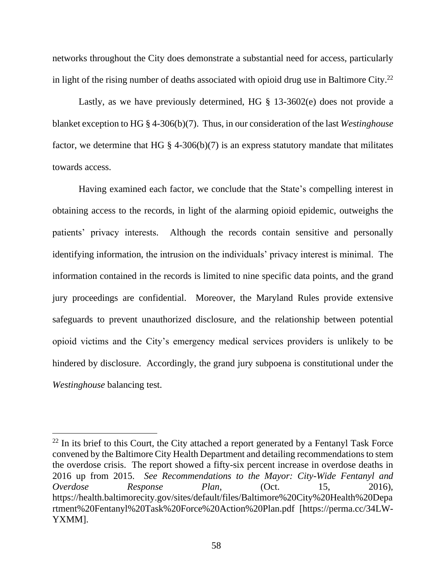networks throughout the City does demonstrate a substantial need for access, particularly in light of the rising number of deaths associated with opioid drug use in Baltimore City.<sup>22</sup>

Lastly, as we have previously determined, HG § 13-3602(e) does not provide a blanket exception to HG § 4-306(b)(7). Thus, in our consideration of the last *Westinghouse* factor, we determine that HG  $\S$  4-306(b)(7) is an express statutory mandate that militates towards access.

Having examined each factor, we conclude that the State's compelling interest in obtaining access to the records, in light of the alarming opioid epidemic, outweighs the patients' privacy interests. Although the records contain sensitive and personally identifying information, the intrusion on the individuals' privacy interest is minimal. The information contained in the records is limited to nine specific data points, and the grand jury proceedings are confidential. Moreover, the Maryland Rules provide extensive safeguards to prevent unauthorized disclosure, and the relationship between potential opioid victims and the City's emergency medical services providers is unlikely to be hindered by disclosure. Accordingly, the grand jury subpoena is constitutional under the *Westinghouse* balancing test.

 $22$  In its brief to this Court, the City attached a report generated by a Fentanyl Task Force convened by the Baltimore City Health Department and detailing recommendations to stem the overdose crisis. The report showed a fifty-six percent increase in overdose deaths in 2016 up from 2015. *See Recommendations to the Mayor: City-Wide Fentanyl and Overdose Response Plan*, (Oct. 15, 2016), https://health.baltimorecity.gov/sites/default/files/Baltimore%20City%20Health%20Depa rtment%20Fentanyl%20Task%20Force%20Action%20Plan.pdf [https://perma.cc/34LW-YXMM].